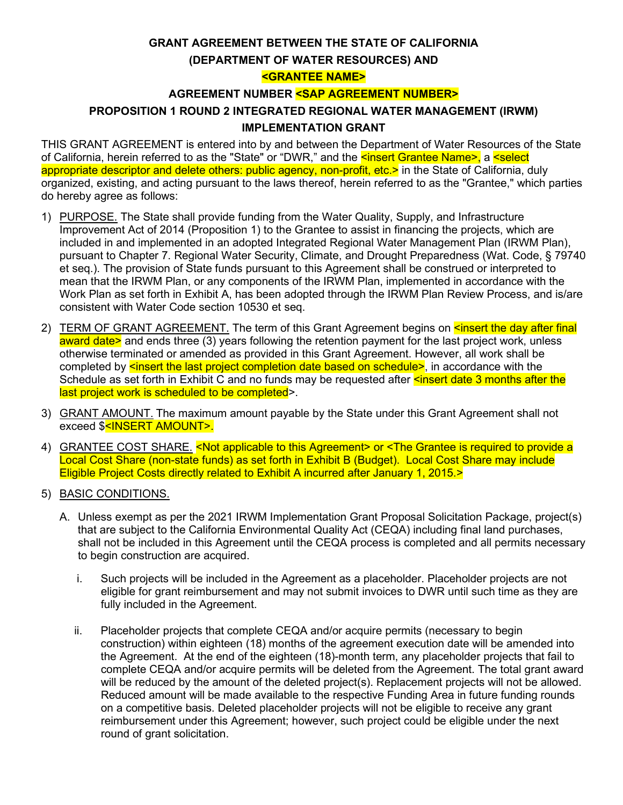# **GRANT AGREEMENT BETWEEN THE STATE OF CALIFORNIA (DEPARTMENT OF WATER RESOURCES) AND <GRANTEE NAME>**

#### **AGREEMENT NUMBER <SAP AGREEMENT NUMBER>**

# **PROPOSITION 1 ROUND 2 INTEGRATED REGIONAL WATER MANAGEMENT (IRWM) IMPLEMENTATION GRANT**

THIS GRANT AGREEMENT is entered into by and between the Department of Water Resources of the State of California, herein referred to as the "State" or "DWR," and the sinsert Grantee Name>, a select appropriate descriptor and delete others: public agency, non-profit, etc.> in the State of California, duly organized, existing, and acting pursuant to the laws thereof, herein referred to as the "Grantee," which parties do hereby agree as follows:

- 1) PURPOSE. The State shall provide funding from the Water Quality, Supply, and Infrastructure Improvement Act of 2014 (Proposition 1) to the Grantee to assist in financing the projects, which are included in and implemented in an adopted Integrated Regional Water Management Plan (IRWM Plan), pursuant to Chapter 7. Regional Water Security, Climate, and Drought Preparedness (Wat. Code, § 79740 et seq.). The provision of State funds pursuant to this Agreement shall be construed or interpreted to mean that the IRWM Plan, or any components of the IRWM Plan, implemented in accordance with the Work Plan as set forth in Exhibit A, has been adopted through the IRWM Plan Review Process, and is/are consistent with Water Code section 10530 et seq.
- 2) TERM OF GRANT AGREEMENT. The term of this Grant Agreement begins on sinsert the day after final award date> and ends three (3) years following the retention payment for the last project work, unless otherwise terminated or amended as provided in this Grant Agreement. However, all work shall be completed by  $\leq$  insert the last project completion date based on schedule>, in accordance with the Schedule as set forth in Exhibit C and no funds may be requested after sinsert date 3 months after the last project work is scheduled to be completed>.
- 3) GRANT AMOUNT. The maximum amount payable by the State under this Grant Agreement shall not exceed \$<INSERT AMOUNT>.
- 4) GRANTEE COST SHARE. <Not applicable to this Agreement> or <The Grantee is required to provide a Local Cost Share (non-state funds) as set forth in Exhibit B (Budget). Local Cost Share may include Eligible Project Costs directly related to Exhibit A incurred after January 1, 2015.>
- 5) BASIC CONDITIONS.
	- A. Unless exempt as per the 2021 IRWM Implementation Grant Proposal Solicitation Package, project(s) that are subject to the California Environmental Quality Act (CEQA) including final land purchases, shall not be included in this Agreement until the CEQA process is completed and all permits necessary to begin construction are acquired.
		- i. Such projects will be included in the Agreement as a placeholder. Placeholder projects are not eligible for grant reimbursement and may not submit invoices to DWR until such time as they are fully included in the Agreement.
		- ii. Placeholder projects that complete CEQA and/or acquire permits (necessary to begin construction) within eighteen (18) months of the agreement execution date will be amended into the Agreement. At the end of the eighteen (18)-month term, any placeholder projects that fail to complete CEQA and/or acquire permits will be deleted from the Agreement. The total grant award will be reduced by the amount of the deleted project(s). Replacement projects will not be allowed. Reduced amount will be made available to the respective Funding Area in future funding rounds on a competitive basis. Deleted placeholder projects will not be eligible to receive any grant reimbursement under this Agreement; however, such project could be eligible under the next round of grant solicitation.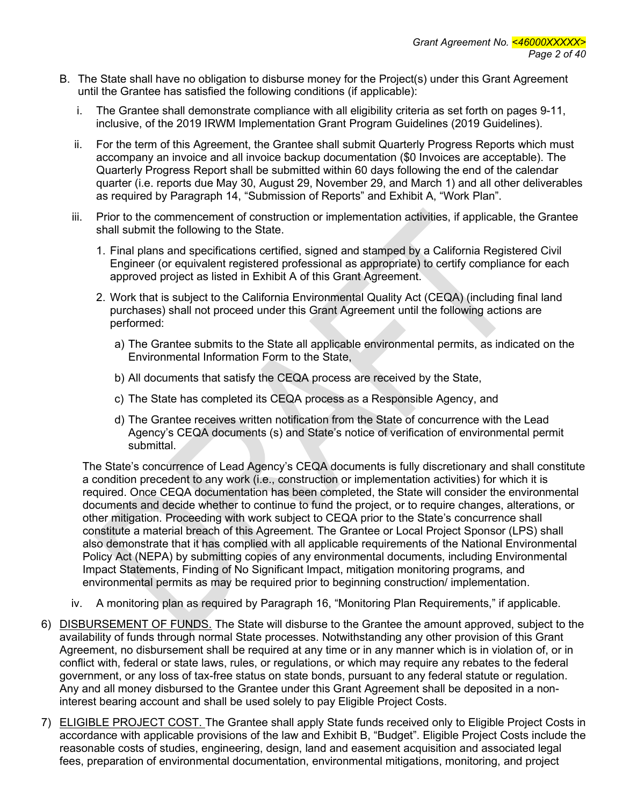- B. The State shall have no obligation to disburse money for the Project(s) under this Grant Agreement until the Grantee has satisfied the following conditions (if applicable):
	- i. The Grantee shall demonstrate compliance with all eligibility criteria as set forth on pages 9-11, inclusive, of the 2019 IRWM Implementation Grant Program Guidelines (2019 Guidelines).
	- ii. For the term of this Agreement, the Grantee shall submit Quarterly Progress Reports which must accompany an invoice and all invoice backup documentation (\$0 Invoices are acceptable). The Quarterly Progress Report shall be submitted within 60 days following the end of the calendar quarter (i.e. reports due May 30, August 29, November 29, and March 1) and all other deliverables as required by Paragraph 14, "Submission of Reports" and Exhibit A, "Work Plan".
	- iii. Prior to the commencement of construction or implementation activities, if applicable, the Grantee shall submit the following to the State.
		- 1. Final plans and specifications certified, signed and stamped by a California Registered Civil Engineer (or equivalent registered professional as appropriate) to certify compliance for each approved project as listed in Exhibit A of this Grant Agreement.
		- 2. Work that is subject to the California Environmental Quality Act (CEQA) (including final land purchases) shall not proceed under this Grant Agreement until the following actions are performed:
			- a) The Grantee submits to the State all applicable environmental permits, as indicated on the Environmental Information Form to the State,
			- b) All documents that satisfy the CEQA process are received by the State,
			- c) The State has completed its CEQA process as a Responsible Agency, and
			- d) The Grantee receives written notification from the State of concurrence with the Lead Agency's CEQA documents (s) and State's notice of verification of environmental permit submittal.

The State's concurrence of Lead Agency's CEQA documents is fully discretionary and shall constitute a condition precedent to any work (i.e., construction or implementation activities) for which it is required. Once CEQA documentation has been completed, the State will consider the environmental documents and decide whether to continue to fund the project, or to require changes, alterations, or other mitigation. Proceeding with work subject to CEQA prior to the State's concurrence shall constitute a material breach of this Agreement. The Grantee or Local Project Sponsor (LPS) shall also demonstrate that it has complied with all applicable requirements of the National Environmental Policy Act (NEPA) by submitting copies of any environmental documents, including Environmental Impact Statements, Finding of No Significant Impact, mitigation monitoring programs, and environmental permits as may be required prior to beginning construction/ implementation.

- iv. A monitoring plan as required by Paragraph 16, "Monitoring Plan Requirements," if applicable.
- 6) DISBURSEMENT OF FUNDS. The State will disburse to the Grantee the amount approved, subject to the availability of funds through normal State processes. Notwithstanding any other provision of this Grant Agreement, no disbursement shall be required at any time or in any manner which is in violation of, or in conflict with, federal or state laws, rules, or regulations, or which may require any rebates to the federal government, or any loss of tax-free status on state bonds, pursuant to any federal statute or regulation. Any and all money disbursed to the Grantee under this Grant Agreement shall be deposited in a noninterest bearing account and shall be used solely to pay Eligible Project Costs.
- 7) ELIGIBLE PROJECT COST. The Grantee shall apply State funds received only to Eligible Project Costs in accordance with applicable provisions of the law and Exhibit B, "Budget". Eligible Project Costs include the reasonable costs of studies, engineering, design, land and easement acquisition and associated legal fees, preparation of environmental documentation, environmental mitigations, monitoring, and project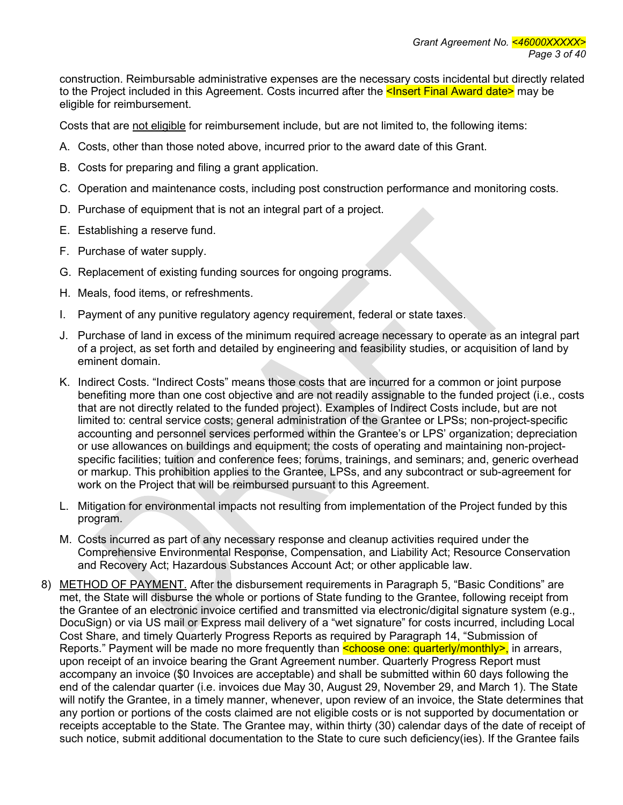construction. Reimbursable administrative expenses are the necessary costs incidental but directly related to the Project included in this Agreement. Costs incurred after the **<Insert Final Award date>** may be eligible for reimbursement.

Costs that are not eligible for reimbursement include, but are not limited to, the following items:

- A. Costs, other than those noted above, incurred prior to the award date of this Grant.
- B. Costs for preparing and filing a grant application.
- C. Operation and maintenance costs, including post construction performance and monitoring costs.
- D. Purchase of equipment that is not an integral part of a project.
- E. Establishing a reserve fund.
- F. Purchase of water supply.
- G. Replacement of existing funding sources for ongoing programs.
- H. Meals, food items, or refreshments.
- I. Payment of any punitive regulatory agency requirement, federal or state taxes.
- J. Purchase of land in excess of the minimum required acreage necessary to operate as an integral part of a project, as set forth and detailed by engineering and feasibility studies, or acquisition of land by eminent domain.
- K. Indirect Costs. "Indirect Costs" means those costs that are incurred for a common or joint purpose benefiting more than one cost objective and are not readily assignable to the funded project (i.e., costs that are not directly related to the funded project). Examples of Indirect Costs include, but are not limited to: central service costs; general administration of the Grantee or LPSs; non-project-specific accounting and personnel services performed within the Grantee's or LPS' organization; depreciation or use allowances on buildings and equipment; the costs of operating and maintaining non-projectspecific facilities; tuition and conference fees; forums, trainings, and seminars; and, generic overhead or markup. This prohibition applies to the Grantee, LPSs, and any subcontract or sub-agreement for work on the Project that will be reimbursed pursuant to this Agreement.
- L. Mitigation for environmental impacts not resulting from implementation of the Project funded by this program.
- M. Costs incurred as part of any necessary response and cleanup activities required under the Comprehensive Environmental Response, Compensation, and Liability Act; Resource Conservation and Recovery Act; Hazardous Substances Account Act; or other applicable law.
- 8) METHOD OF PAYMENT. After the disbursement requirements in Paragraph 5, "Basic Conditions" are met, the State will disburse the whole or portions of State funding to the Grantee, following receipt from the Grantee of an electronic invoice certified and transmitted via electronic/digital signature system (e.g., DocuSign) or via US mail or Express mail delivery of a "wet signature" for costs incurred, including Local Cost Share, and timely Quarterly Progress Reports as required by Paragraph 14, "Submission of Reports." Payment will be made no more frequently than **<choose one: quarterly/monthly>**, in arrears, upon receipt of an invoice bearing the Grant Agreement number. Quarterly Progress Report must accompany an invoice (\$0 Invoices are acceptable) and shall be submitted within 60 days following the end of the calendar quarter (i.e. invoices due May 30, August 29, November 29, and March 1). The State will notify the Grantee, in a timely manner, whenever, upon review of an invoice, the State determines that any portion or portions of the costs claimed are not eligible costs or is not supported by documentation or receipts acceptable to the State. The Grantee may, within thirty (30) calendar days of the date of receipt of such notice, submit additional documentation to the State to cure such deficiency(ies). If the Grantee fails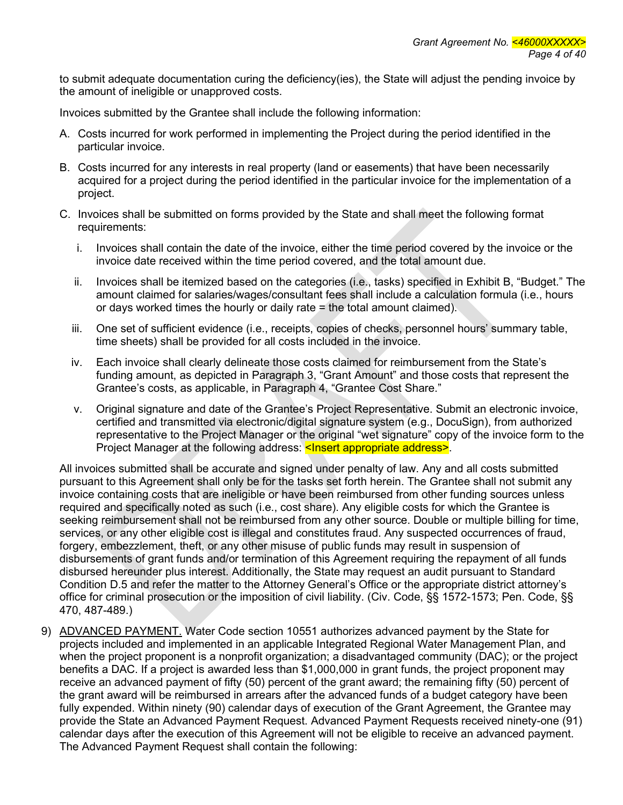to submit adequate documentation curing the deficiency(ies), the State will adjust the pending invoice by the amount of ineligible or unapproved costs.

Invoices submitted by the Grantee shall include the following information:

- A. Costs incurred for work performed in implementing the Project during the period identified in the particular invoice.
- B. Costs incurred for any interests in real property (land or easements) that have been necessarily acquired for a project during the period identified in the particular invoice for the implementation of a project.
- C. Invoices shall be submitted on forms provided by the State and shall meet the following format requirements:
	- i. Invoices shall contain the date of the invoice, either the time period covered by the invoice or the invoice date received within the time period covered, and the total amount due.
	- ii. Invoices shall be itemized based on the categories (i.e., tasks) specified in Exhibit B, "Budget." The amount claimed for salaries/wages/consultant fees shall include a calculation formula (i.e., hours or days worked times the hourly or daily rate = the total amount claimed).
	- iii. One set of sufficient evidence (i.e., receipts, copies of checks, personnel hours' summary table, time sheets) shall be provided for all costs included in the invoice.
	- iv. Each invoice shall clearly delineate those costs claimed for reimbursement from the State's funding amount, as depicted in Paragraph 3, "Grant Amount" and those costs that represent the Grantee's costs, as applicable, in Paragraph 4, "Grantee Cost Share."
	- v. Original signature and date of the Grantee's Project Representative. Submit an electronic invoice, certified and transmitted via electronic/digital signature system (e.g., DocuSign), from authorized representative to the Project Manager or the original "wet signature" copy of the invoice form to the Project Manager at the following address: <Insert appropriate address>.

All invoices submitted shall be accurate and signed under penalty of law. Any and all costs submitted pursuant to this Agreement shall only be for the tasks set forth herein. The Grantee shall not submit any invoice containing costs that are ineligible or have been reimbursed from other funding sources unless required and specifically noted as such (i.e., cost share). Any eligible costs for which the Grantee is seeking reimbursement shall not be reimbursed from any other source. Double or multiple billing for time, services, or any other eligible cost is illegal and constitutes fraud. Any suspected occurrences of fraud, forgery, embezzlement, theft, or any other misuse of public funds may result in suspension of disbursements of grant funds and/or termination of this Agreement requiring the repayment of all funds disbursed hereunder plus interest. Additionally, the State may request an audit pursuant to Standard Condition D.5 and refer the matter to the Attorney General's Office or the appropriate district attorney's office for criminal prosecution or the imposition of civil liability. (Civ. Code, §§ 1572-1573; Pen. Code, §§ 470, 487-489.)

9) ADVANCED PAYMENT. Water Code section 10551 authorizes advanced payment by the State for projects included and implemented in an applicable Integrated Regional Water Management Plan, and when the project proponent is a nonprofit organization; a disadvantaged community (DAC); or the project benefits a DAC. If a project is awarded less than \$1,000,000 in grant funds, the project proponent may receive an advanced payment of fifty (50) percent of the grant award; the remaining fifty (50) percent of the grant award will be reimbursed in arrears after the advanced funds of a budget category have been fully expended. Within ninety (90) calendar days of execution of the Grant Agreement, the Grantee may provide the State an Advanced Payment Request. Advanced Payment Requests received ninety-one (91) calendar days after the execution of this Agreement will not be eligible to receive an advanced payment. The Advanced Payment Request shall contain the following: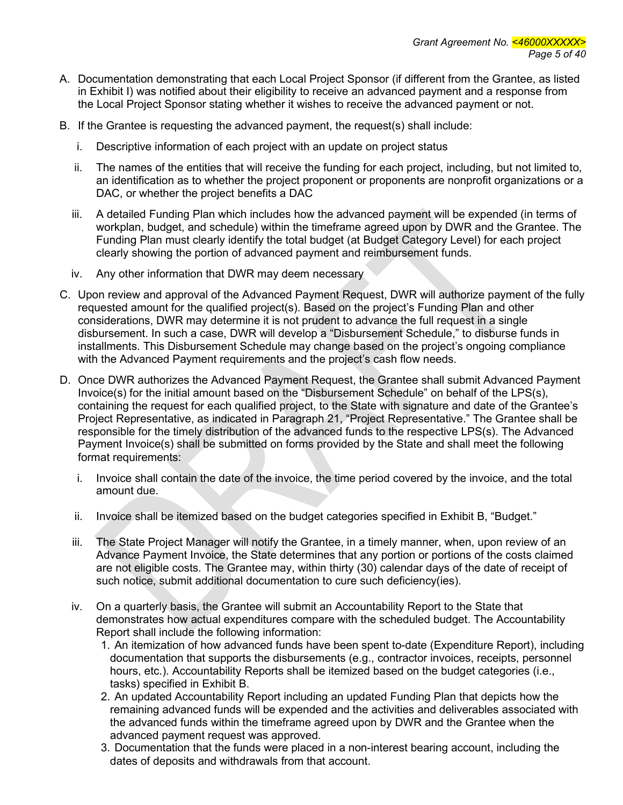- A. Documentation demonstrating that each Local Project Sponsor (if different from the Grantee, as listed in Exhibit I) was notified about their eligibility to receive an advanced payment and a response from the Local Project Sponsor stating whether it wishes to receive the advanced payment or not.
- B. If the Grantee is requesting the advanced payment, the request(s) shall include:
	- i. Descriptive information of each project with an update on project status
	- ii. The names of the entities that will receive the funding for each project, including, but not limited to, an identification as to whether the project proponent or proponents are nonprofit organizations or a DAC, or whether the project benefits a DAC
	- iii. A detailed Funding Plan which includes how the advanced payment will be expended (in terms of workplan, budget, and schedule) within the timeframe agreed upon by DWR and the Grantee. The Funding Plan must clearly identify the total budget (at Budget Category Level) for each project clearly showing the portion of advanced payment and reimbursement funds.
	- iv. Any other information that DWR may deem necessary
- C. Upon review and approval of the Advanced Payment Request, DWR will authorize payment of the fully requested amount for the qualified project(s). Based on the project's Funding Plan and other considerations, DWR may determine it is not prudent to advance the full request in a single disbursement. In such a case, DWR will develop a "Disbursement Schedule," to disburse funds in installments. This Disbursement Schedule may change based on the project's ongoing compliance with the Advanced Payment requirements and the project's cash flow needs.
- D. Once DWR authorizes the Advanced Payment Request, the Grantee shall submit Advanced Payment Invoice(s) for the initial amount based on the "Disbursement Schedule" on behalf of the LPS(s), containing the request for each qualified project, to the State with signature and date of the Grantee's Project Representative, as indicated in Paragraph 21, "Project Representative." The Grantee shall be responsible for the timely distribution of the advanced funds to the respective LPS(s). The Advanced Payment Invoice(s) shall be submitted on forms provided by the State and shall meet the following format requirements:
	- i. Invoice shall contain the date of the invoice, the time period covered by the invoice, and the total amount due.
	- ii. Invoice shall be itemized based on the budget categories specified in Exhibit B, "Budget."
	- iii. The State Project Manager will notify the Grantee, in a timely manner, when, upon review of an Advance Payment Invoice, the State determines that any portion or portions of the costs claimed are not eligible costs. The Grantee may, within thirty (30) calendar days of the date of receipt of such notice, submit additional documentation to cure such deficiency(ies).
	- iv. On a quarterly basis, the Grantee will submit an Accountability Report to the State that demonstrates how actual expenditures compare with the scheduled budget. The Accountability Report shall include the following information:
		- 1. An itemization of how advanced funds have been spent to-date (Expenditure Report), including documentation that supports the disbursements (e.g., contractor invoices, receipts, personnel hours, etc.). Accountability Reports shall be itemized based on the budget categories (i.e., tasks) specified in Exhibit B.
		- 2. An updated Accountability Report including an updated Funding Plan that depicts how the remaining advanced funds will be expended and the activities and deliverables associated with the advanced funds within the timeframe agreed upon by DWR and the Grantee when the advanced payment request was approved.
		- 3. Documentation that the funds were placed in a non-interest bearing account, including the dates of deposits and withdrawals from that account.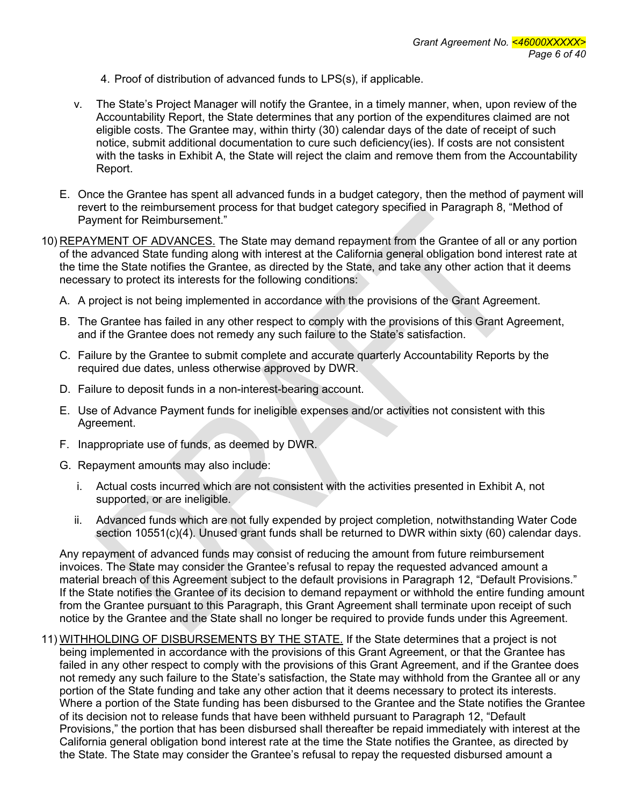- 4. Proof of distribution of advanced funds to LPS(s), if applicable.
- v. The State's Project Manager will notify the Grantee, in a timely manner, when, upon review of the Accountability Report, the State determines that any portion of the expenditures claimed are not eligible costs. The Grantee may, within thirty (30) calendar days of the date of receipt of such notice, submit additional documentation to cure such deficiency(ies). If costs are not consistent with the tasks in Exhibit A, the State will reject the claim and remove them from the Accountability Report.
- E. Once the Grantee has spent all advanced funds in a budget category, then the method of payment will revert to the reimbursement process for that budget category specified in Paragraph 8, "Method of Payment for Reimbursement."
- 10) REPAYMENT OF ADVANCES. The State may demand repayment from the Grantee of all or any portion of the advanced State funding along with interest at the California general obligation bond interest rate at the time the State notifies the Grantee, as directed by the State, and take any other action that it deems necessary to protect its interests for the following conditions:
	- A. A project is not being implemented in accordance with the provisions of the Grant Agreement.
	- B. The Grantee has failed in any other respect to comply with the provisions of this Grant Agreement, and if the Grantee does not remedy any such failure to the State's satisfaction.
	- C. Failure by the Grantee to submit complete and accurate quarterly Accountability Reports by the required due dates, unless otherwise approved by DWR.
	- D. Failure to deposit funds in a non-interest-bearing account.
	- E. Use of Advance Payment funds for ineligible expenses and/or activities not consistent with this Agreement.
	- F. Inappropriate use of funds, as deemed by DWR.
	- G. Repayment amounts may also include:
		- i. Actual costs incurred which are not consistent with the activities presented in Exhibit A, not supported, or are ineligible.
		- ii. Advanced funds which are not fully expended by project completion, notwithstanding Water Code section 10551(c)(4). Unused grant funds shall be returned to DWR within sixty (60) calendar days.

Any repayment of advanced funds may consist of reducing the amount from future reimbursement invoices. The State may consider the Grantee's refusal to repay the requested advanced amount a material breach of this Agreement subject to the default provisions in Paragraph 12, "Default Provisions." If the State notifies the Grantee of its decision to demand repayment or withhold the entire funding amount from the Grantee pursuant to this Paragraph, this Grant Agreement shall terminate upon receipt of such notice by the Grantee and the State shall no longer be required to provide funds under this Agreement.

11) WITHHOLDING OF DISBURSEMENTS BY THE STATE. If the State determines that a project is not being implemented in accordance with the provisions of this Grant Agreement, or that the Grantee has failed in any other respect to comply with the provisions of this Grant Agreement, and if the Grantee does not remedy any such failure to the State's satisfaction, the State may withhold from the Grantee all or any portion of the State funding and take any other action that it deems necessary to protect its interests. Where a portion of the State funding has been disbursed to the Grantee and the State notifies the Grantee of its decision not to release funds that have been withheld pursuant to Paragraph 12, "Default Provisions," the portion that has been disbursed shall thereafter be repaid immediately with interest at the California general obligation bond interest rate at the time the State notifies the Grantee, as directed by the State. The State may consider the Grantee's refusal to repay the requested disbursed amount a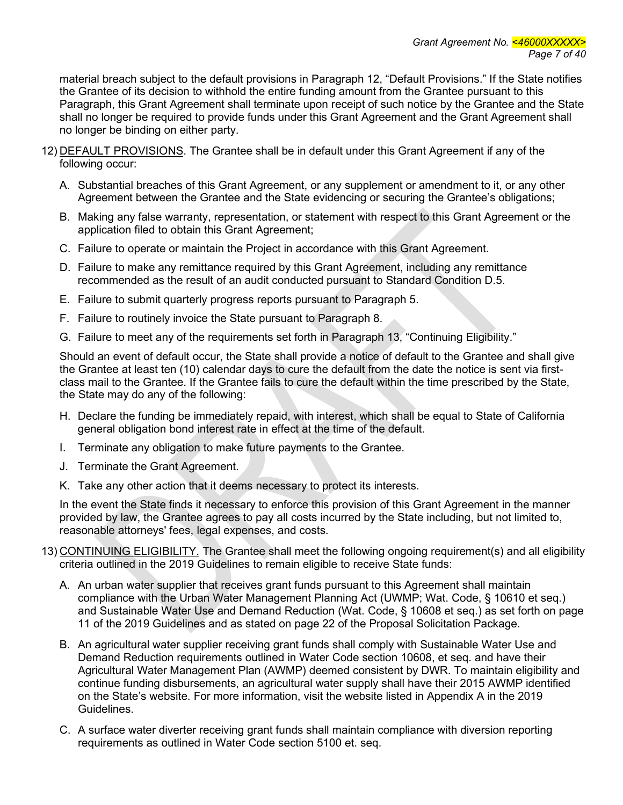material breach subject to the default provisions in Paragraph 12, "Default Provisions." If the State notifies the Grantee of its decision to withhold the entire funding amount from the Grantee pursuant to this Paragraph, this Grant Agreement shall terminate upon receipt of such notice by the Grantee and the State shall no longer be required to provide funds under this Grant Agreement and the Grant Agreement shall no longer be binding on either party.

- 12) DEFAULT PROVISIONS. The Grantee shall be in default under this Grant Agreement if any of the following occur:
	- A. Substantial breaches of this Grant Agreement, or any supplement or amendment to it, or any other Agreement between the Grantee and the State evidencing or securing the Grantee's obligations;
	- B. Making any false warranty, representation, or statement with respect to this Grant Agreement or the application filed to obtain this Grant Agreement;
	- C. Failure to operate or maintain the Project in accordance with this Grant Agreement.
	- D. Failure to make any remittance required by this Grant Agreement, including any remittance recommended as the result of an audit conducted pursuant to Standard Condition D.5.
	- E. Failure to submit quarterly progress reports pursuant to Paragraph 5.
	- F. Failure to routinely invoice the State pursuant to Paragraph 8.
	- G. Failure to meet any of the requirements set forth in Paragraph 13, "Continuing Eligibility."

Should an event of default occur, the State shall provide a notice of default to the Grantee and shall give the Grantee at least ten (10) calendar days to cure the default from the date the notice is sent via firstclass mail to the Grantee. If the Grantee fails to cure the default within the time prescribed by the State, the State may do any of the following:

- H. Declare the funding be immediately repaid, with interest, which shall be equal to State of California general obligation bond interest rate in effect at the time of the default.
- I. Terminate any obligation to make future payments to the Grantee.
- J. Terminate the Grant Agreement.
- K. Take any other action that it deems necessary to protect its interests.

In the event the State finds it necessary to enforce this provision of this Grant Agreement in the manner provided by law, the Grantee agrees to pay all costs incurred by the State including, but not limited to, reasonable attorneys' fees, legal expenses, and costs.

- 13) CONTINUING ELIGIBILITY. The Grantee shall meet the following ongoing requirement(s) and all eligibility criteria outlined in the 2019 Guidelines to remain eligible to receive State funds:
	- A. An urban water supplier that receives grant funds pursuant to this Agreement shall maintain compliance with the Urban Water Management Planning Act (UWMP; Wat. Code, § 10610 et seq.) and Sustainable Water Use and Demand Reduction (Wat. Code, § 10608 et seq.) as set forth on page 11 of the 2019 Guidelines and as stated on page 22 of the Proposal Solicitation Package.
	- B. An agricultural water supplier receiving grant funds shall comply with Sustainable Water Use and Demand Reduction requirements outlined in Water Code section 10608, et seq. and have their Agricultural Water Management Plan (AWMP) deemed consistent by DWR. To maintain eligibility and continue funding disbursements, an agricultural water supply shall have their 2015 AWMP identified on the State's website. For more information, visit the website listed in Appendix A in the 2019 Guidelines.
	- C. A surface water diverter receiving grant funds shall maintain compliance with diversion reporting requirements as outlined in Water Code section 5100 et. seq.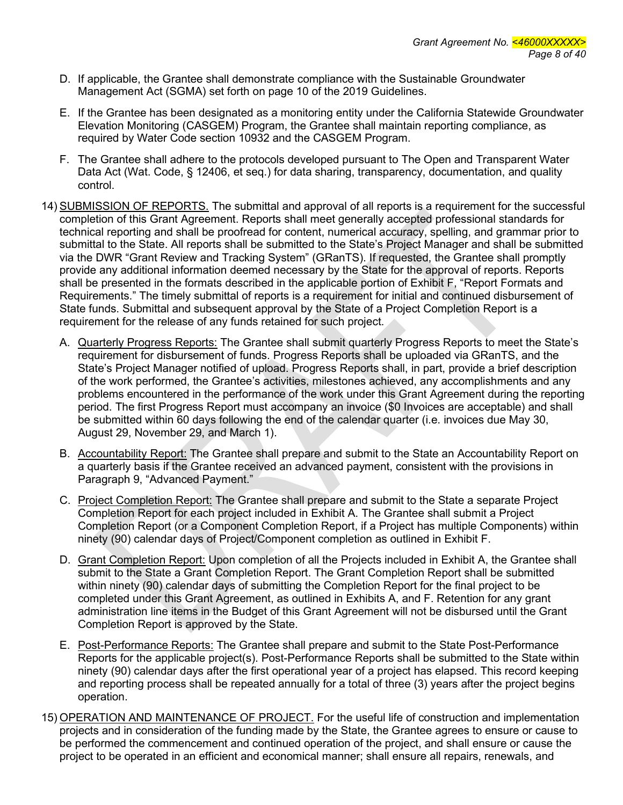- D. If applicable, the Grantee shall demonstrate compliance with the Sustainable Groundwater Management Act (SGMA) set forth on page 10 of the 2019 Guidelines.
- E. If the Grantee has been designated as a monitoring entity under the California Statewide Groundwater Elevation Monitoring (CASGEM) Program, the Grantee shall maintain reporting compliance, as required by Water Code section 10932 and the CASGEM Program.
- F. The Grantee shall adhere to the protocols developed pursuant to The Open and Transparent Water Data Act (Wat. Code, § 12406, et seq.) for data sharing, transparency, documentation, and quality control.
- 14) SUBMISSION OF REPORTS. The submittal and approval of all reports is a requirement for the successful completion of this Grant Agreement. Reports shall meet generally accepted professional standards for technical reporting and shall be proofread for content, numerical accuracy, spelling, and grammar prior to submittal to the State. All reports shall be submitted to the State's Project Manager and shall be submitted via the DWR "Grant Review and Tracking System" (GRanTS). If requested, the Grantee shall promptly provide any additional information deemed necessary by the State for the approval of reports. Reports shall be presented in the formats described in the applicable portion of Exhibit F, "Report Formats and Requirements." The timely submittal of reports is a requirement for initial and continued disbursement of State funds. Submittal and subsequent approval by the State of a Project Completion Report is a requirement for the release of any funds retained for such project.
	- A. Quarterly Progress Reports: The Grantee shall submit quarterly Progress Reports to meet the State's requirement for disbursement of funds. Progress Reports shall be uploaded via GRanTS, and the State's Project Manager notified of upload. Progress Reports shall, in part, provide a brief description of the work performed, the Grantee's activities, milestones achieved, any accomplishments and any problems encountered in the performance of the work under this Grant Agreement during the reporting period. The first Progress Report must accompany an invoice (\$0 Invoices are acceptable) and shall be submitted within 60 days following the end of the calendar quarter (i.e. invoices due May 30, August 29, November 29, and March 1).
	- B. Accountability Report: The Grantee shall prepare and submit to the State an Accountability Report on a quarterly basis if the Grantee received an advanced payment, consistent with the provisions in Paragraph 9, "Advanced Payment."
	- C. Project Completion Report: The Grantee shall prepare and submit to the State a separate Project Completion Report for each project included in Exhibit A. The Grantee shall submit a Project Completion Report (or a Component Completion Report, if a Project has multiple Components) within ninety (90) calendar days of Project/Component completion as outlined in Exhibit F.
	- D. Grant Completion Report: Upon completion of all the Projects included in Exhibit A, the Grantee shall submit to the State a Grant Completion Report. The Grant Completion Report shall be submitted within ninety (90) calendar days of submitting the Completion Report for the final project to be completed under this Grant Agreement, as outlined in Exhibits A, and F. Retention for any grant administration line items in the Budget of this Grant Agreement will not be disbursed until the Grant Completion Report is approved by the State.
	- E. Post-Performance Reports: The Grantee shall prepare and submit to the State Post-Performance Reports for the applicable project(s). Post-Performance Reports shall be submitted to the State within ninety (90) calendar days after the first operational year of a project has elapsed. This record keeping and reporting process shall be repeated annually for a total of three (3) years after the project begins operation.
- 15) OPERATION AND MAINTENANCE OF PROJECT. For the useful life of construction and implementation projects and in consideration of the funding made by the State, the Grantee agrees to ensure or cause to be performed the commencement and continued operation of the project, and shall ensure or cause the project to be operated in an efficient and economical manner; shall ensure all repairs, renewals, and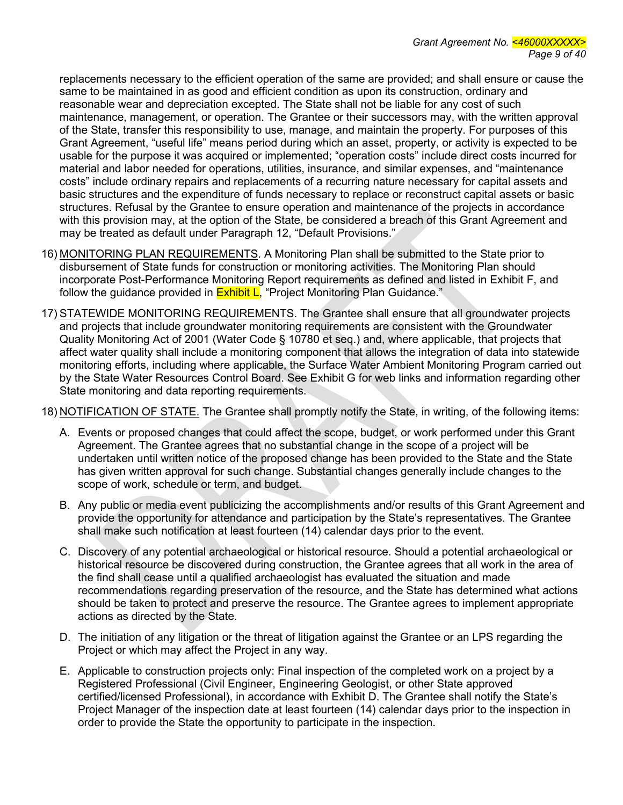replacements necessary to the efficient operation of the same are provided; and shall ensure or cause the same to be maintained in as good and efficient condition as upon its construction, ordinary and reasonable wear and depreciation excepted. The State shall not be liable for any cost of such maintenance, management, or operation. The Grantee or their successors may, with the written approval of the State, transfer this responsibility to use, manage, and maintain the property. For purposes of this Grant Agreement, "useful life" means period during which an asset, property, or activity is expected to be usable for the purpose it was acquired or implemented; "operation costs" include direct costs incurred for material and labor needed for operations, utilities, insurance, and similar expenses, and "maintenance costs" include ordinary repairs and replacements of a recurring nature necessary for capital assets and basic structures and the expenditure of funds necessary to replace or reconstruct capital assets or basic structures. Refusal by the Grantee to ensure operation and maintenance of the projects in accordance with this provision may, at the option of the State, be considered a breach of this Grant Agreement and may be treated as default under Paragraph 12, "Default Provisions."

- 16) MONITORING PLAN REQUIREMENTS. A Monitoring Plan shall be submitted to the State prior to disbursement of State funds for construction or monitoring activities. The Monitoring Plan should incorporate Post-Performance Monitoring Report requirements as defined and listed in Exhibit F, and follow the guidance provided in **Exhibit L**, "Project Monitoring Plan Guidance."
- 17) STATEWIDE MONITORING REQUIREMENTS. The Grantee shall ensure that all groundwater projects and projects that include groundwater monitoring requirements are consistent with the Groundwater Quality Monitoring Act of 2001 (Water Code § 10780 et seq.) and, where applicable, that projects that affect water quality shall include a monitoring component that allows the integration of data into statewide monitoring efforts, including where applicable, the Surface Water Ambient Monitoring Program carried out by the State Water Resources Control Board. See Exhibit G for web links and information regarding other State monitoring and data reporting requirements.

18) NOTIFICATION OF STATE. The Grantee shall promptly notify the State, in writing, of the following items:

- A. Events or proposed changes that could affect the scope, budget, or work performed under this Grant Agreement. The Grantee agrees that no substantial change in the scope of a project will be undertaken until written notice of the proposed change has been provided to the State and the State has given written approval for such change. Substantial changes generally include changes to the scope of work, schedule or term, and budget.
- B. Any public or media event publicizing the accomplishments and/or results of this Grant Agreement and provide the opportunity for attendance and participation by the State's representatives. The Grantee shall make such notification at least fourteen (14) calendar days prior to the event.
- C. Discovery of any potential archaeological or historical resource. Should a potential archaeological or historical resource be discovered during construction, the Grantee agrees that all work in the area of the find shall cease until a qualified archaeologist has evaluated the situation and made recommendations regarding preservation of the resource, and the State has determined what actions should be taken to protect and preserve the resource. The Grantee agrees to implement appropriate actions as directed by the State.
- D. The initiation of any litigation or the threat of litigation against the Grantee or an LPS regarding the Project or which may affect the Project in any way.
- E. Applicable to construction projects only: Final inspection of the completed work on a project by a Registered Professional (Civil Engineer, Engineering Geologist, or other State approved certified/licensed Professional), in accordance with Exhibit D. The Grantee shall notify the State's Project Manager of the inspection date at least fourteen (14) calendar days prior to the inspection in order to provide the State the opportunity to participate in the inspection.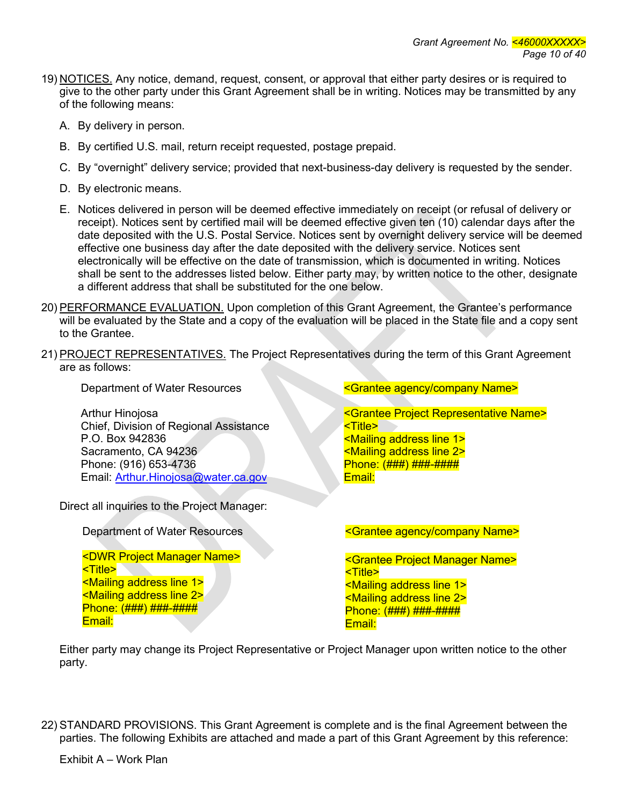- 19) NOTICES. Any notice, demand, request, consent, or approval that either party desires or is required to give to the other party under this Grant Agreement shall be in writing. Notices may be transmitted by any of the following means:
	- A. By delivery in person.
	- B. By certified U.S. mail, return receipt requested, postage prepaid.
	- C. By "overnight" delivery service; provided that next-business-day delivery is requested by the sender.
	- D. By electronic means.
	- E. Notices delivered in person will be deemed effective immediately on receipt (or refusal of delivery or receipt). Notices sent by certified mail will be deemed effective given ten (10) calendar days after the date deposited with the U.S. Postal Service. Notices sent by overnight delivery service will be deemed effective one business day after the date deposited with the delivery service. Notices sent electronically will be effective on the date of transmission, which is documented in writing. Notices shall be sent to the addresses listed below. Either party may, by written notice to the other, designate a different address that shall be substituted for the one below.
- 20) PERFORMANCE EVALUATION. Upon completion of this Grant Agreement, the Grantee's performance will be evaluated by the State and a copy of the evaluation will be placed in the State file and a copy sent to the Grantee.
- 21) PROJECT REPRESENTATIVES. The Project Representatives during the term of this Grant Agreement are as follows:

Arthur Hinojosa Chief, Division of Regional Assistance

P.O. Box 942836 Sacramento, CA 94236 Phone: (916) 653-4736 Email: [Arthur.Hinojosa@water.ca.gov](mailto:Arthur.Hinojosa@water.ca.gov)

Direct all inquiries to the Project Manager:

<DWR Project Manager Name> <Title> <Mailing address line 1> <Mailing address line 2> Phone: (###) ###-#### Email:

Department of Water Resources **Example 2018** Society Agency/company Name>

<Grantee Project Representative Name> <Title> <Mailing address line 1> <Mailing address line 2> Phone: (###) ###-#### Email:

Department of Water Resources **Example 2018** Solution Company Name>

<Grantee Project Manager Name> <Title> <Mailing address line 1> <Mailing address line 2> Phone: (###) ###-#### Email:

Either party may change its Project Representative or Project Manager upon written notice to the other party.

22) STANDARD PROVISIONS. This Grant Agreement is complete and is the final Agreement between the parties. The following Exhibits are attached and made a part of this Grant Agreement by this reference: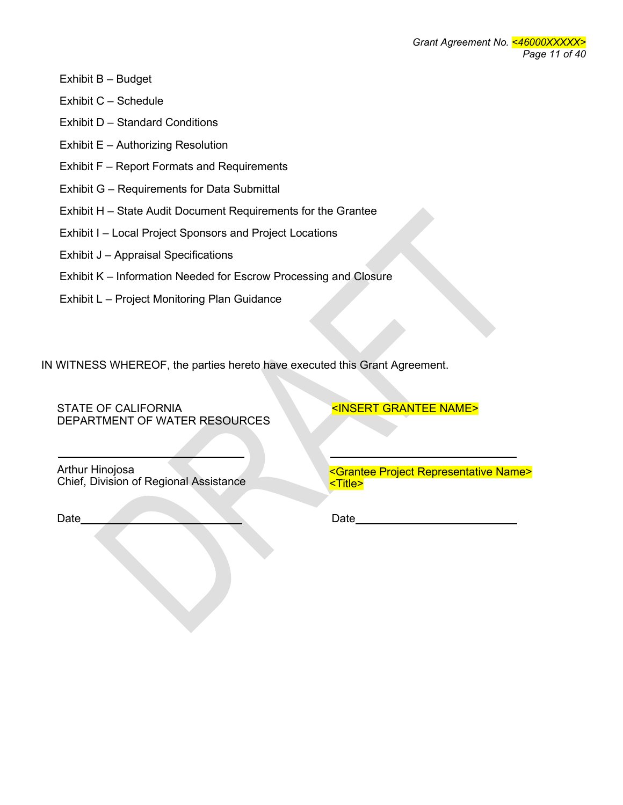- Exhibit B Budget
- Exhibit C Schedule
- Exhibit D Standard Conditions
- Exhibit E Authorizing Resolution
- Exhibit F Report Formats and Requirements
- Exhibit G Requirements for Data Submittal
- Exhibit H State Audit Document Requirements for the Grantee
- Exhibit I Local Project Sponsors and Project Locations
- Exhibit J Appraisal Specifications
- Exhibit K Information Needed for Escrow Processing and Closure
- Exhibit L Project Monitoring Plan Guidance

IN WITNESS WHEREOF, the parties hereto have executed this Grant Agreement.

STATE OF CALIFORNIA DEPARTMENT OF WATER RESOURCES <INSERT GRANTEE NAME>

Arthur Hinojosa

Date Date Date Date

Chief, Division of Regional Assistance <Grantee Project Representative Name> <Title>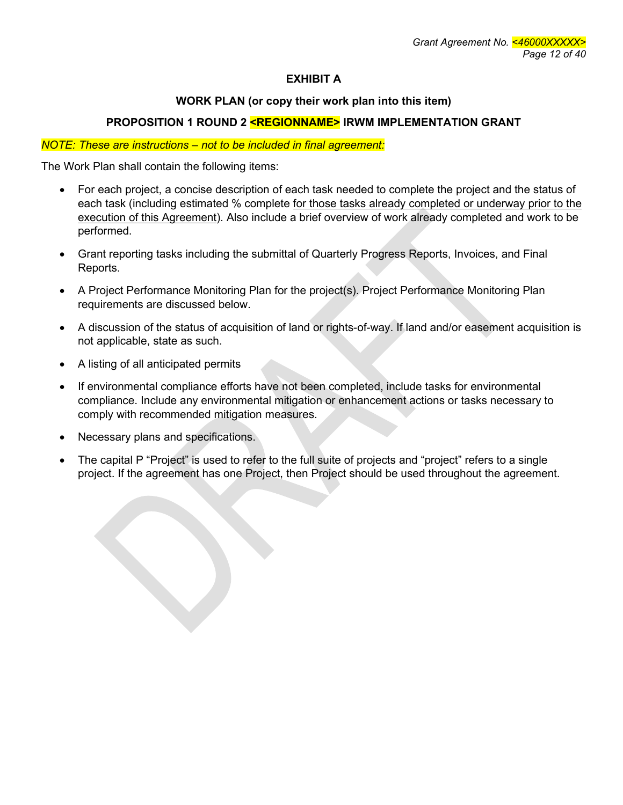# **EXHIBIT A**

## **WORK PLAN (or copy their work plan into this item)**

## **PROPOSITION 1 ROUND 2 <REGIONNAME> IRWM IMPLEMENTATION GRANT**

#### *NOTE: These are instructions – not to be included in final agreement:*

The Work Plan shall contain the following items:

- For each project, a concise description of each task needed to complete the project and the status of each task (including estimated % complete for those tasks already completed or underway prior to the execution of this Agreement). Also include a brief overview of work already completed and work to be performed.
- Grant reporting tasks including the submittal of Quarterly Progress Reports, Invoices, and Final Reports.
- A Project Performance Monitoring Plan for the project(s). Project Performance Monitoring Plan requirements are discussed below.
- A discussion of the status of acquisition of land or rights-of-way. If land and/or easement acquisition is not applicable, state as such.
- A listing of all anticipated permits
- If environmental compliance efforts have not been completed, include tasks for environmental compliance. Include any environmental mitigation or enhancement actions or tasks necessary to comply with recommended mitigation measures.
- Necessary plans and specifications.
- The capital P "Project" is used to refer to the full suite of projects and "project" refers to a single project. If the agreement has one Project, then Project should be used throughout the agreement.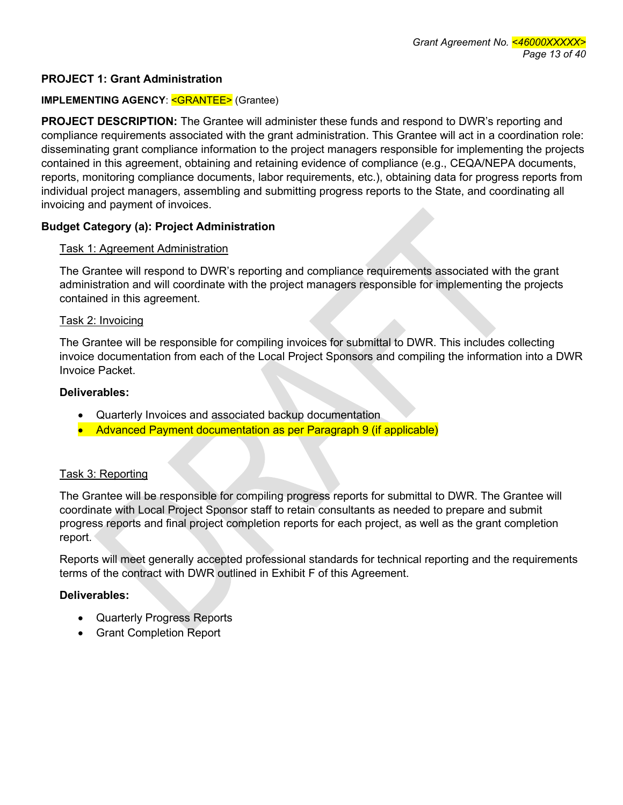## **PROJECT 1: Grant Administration**

#### **IMPLEMENTING AGENCY: <GRANTEE> (Grantee)**

**PROJECT DESCRIPTION:** The Grantee will administer these funds and respond to DWR's reporting and compliance requirements associated with the grant administration. This Grantee will act in a coordination role: disseminating grant compliance information to the project managers responsible for implementing the projects contained in this agreement, obtaining and retaining evidence of compliance (e.g., CEQA/NEPA documents, reports, monitoring compliance documents, labor requirements, etc.), obtaining data for progress reports from individual project managers, assembling and submitting progress reports to the State, and coordinating all invoicing and payment of invoices.

### **Budget Category (a): Project Administration**

#### Task 1: Agreement Administration

The Grantee will respond to DWR's reporting and compliance requirements associated with the grant administration and will coordinate with the project managers responsible for implementing the projects contained in this agreement.

#### Task 2: Invoicing

The Grantee will be responsible for compiling invoices for submittal to DWR. This includes collecting invoice documentation from each of the Local Project Sponsors and compiling the information into a DWR Invoice Packet.

#### **Deliverables:**

- Quarterly Invoices and associated backup documentation
- Advanced Payment documentation as per Paragraph 9 (if applicable)

### Task 3: Reporting

The Grantee will be responsible for compiling progress reports for submittal to DWR. The Grantee will coordinate with Local Project Sponsor staff to retain consultants as needed to prepare and submit progress reports and final project completion reports for each project, as well as the grant completion report.

Reports will meet generally accepted professional standards for technical reporting and the requirements terms of the contract with DWR outlined in Exhibit F of this Agreement.

### **Deliverables:**

- Quarterly Progress Reports
- Grant Completion Report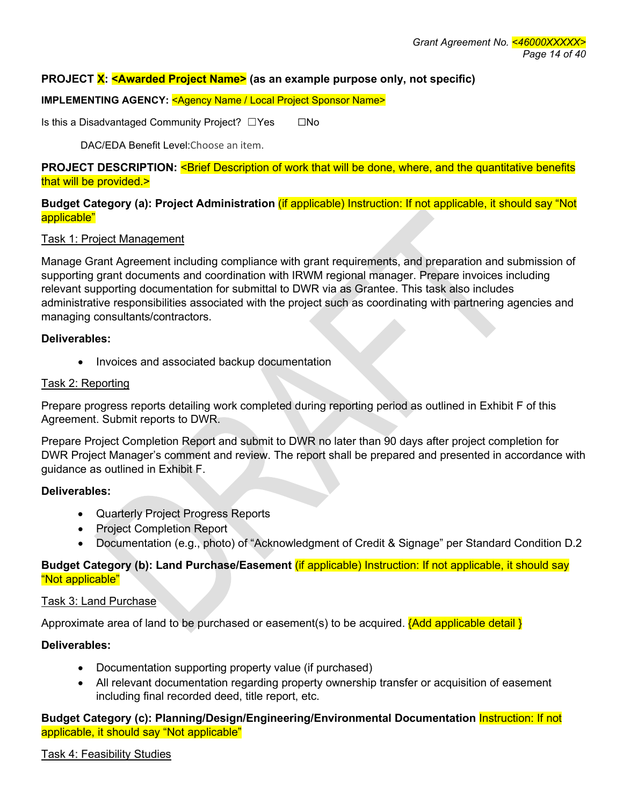## **PROJECT X: <Awarded Project Name> (as an example purpose only, not specific)**

#### **IMPLEMENTING AGENCY: < Agency Name / Local Project Sponsor Name>**

Is this a Disadvantaged Community Project? □Yes □ □No

DAC/EDA Benefit Level:Choose an item.

**PROJECT DESCRIPTION: < Brief Description of work that will be done, where, and the quantitative benefits** that will be provided.>

**Budget Category (a): Project Administration** (if applicable) Instruction: If not applicable, it should say "Not applicable"

#### Task 1: Project Management

Manage Grant Agreement including compliance with grant requirements, and preparation and submission of supporting grant documents and coordination with IRWM regional manager. Prepare invoices including relevant supporting documentation for submittal to DWR via as Grantee. This task also includes administrative responsibilities associated with the project such as coordinating with partnering agencies and managing consultants/contractors.

#### **Deliverables:**

• Invoices and associated backup documentation

#### Task 2: Reporting

Prepare progress reports detailing work completed during reporting period as outlined in Exhibit F of this Agreement. Submit reports to DWR.

Prepare Project Completion Report and submit to DWR no later than 90 days after project completion for DWR Project Manager's comment and review. The report shall be prepared and presented in accordance with guidance as outlined in Exhibit F.

### **Deliverables:**

- Quarterly Project Progress Reports
- Project Completion Report
- Documentation (e.g., photo) of "Acknowledgment of Credit & Signage" per Standard Condition D.2

## **Budget Category (b): Land Purchase/Easement** (if applicable) Instruction: If not applicable, it should say "Not applicable"

### Task 3: Land Purchase

Approximate area of land to be purchased or easement(s) to be acquired.  $\{Add \text{ applicable detail}\}\$ 

### **Deliverables:**

- Documentation supporting property value (if purchased)
- All relevant documentation regarding property ownership transfer or acquisition of easement including final recorded deed, title report, etc.

**Budget Category (c): Planning/Design/Engineering/Environmental Documentation** Instruction: If not applicable, it should say "Not applicable"

### Task 4: Feasibility Studies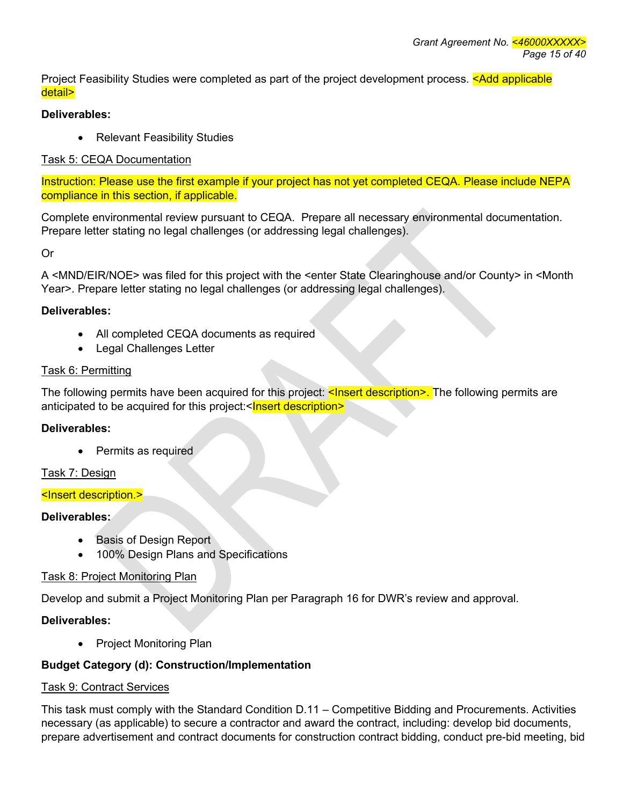Project Feasibility Studies were completed as part of the project development process. < Add applicable detail>

# **Deliverables:**

• Relevant Feasibility Studies

# Task 5: CEQA Documentation

Instruction: Please use the first example if your project has not yet completed CEQA. Please include NEPA compliance in this section, if applicable.

Complete environmental review pursuant to CEQA. Prepare all necessary environmental documentation. Prepare letter stating no legal challenges (or addressing legal challenges).

Or

A <MND/EIR/NOE> was filed for this project with the <enter State Clearinghouse and/or County> in <Month Year>. Prepare letter stating no legal challenges (or addressing legal challenges).

# **Deliverables:**

- All completed CEQA documents as required
- Legal Challenges Letter

# Task 6: Permitting

The following permits have been acquired for this project: <Insert description>. The following permits are anticipated to be acquired for this project:<Insert description>

# **Deliverables:**

• Permits as required

# Task 7: Design

# <Insert description.>

# **Deliverables:**

- Basis of Design Report
- 100% Design Plans and Specifications

# Task 8: Project Monitoring Plan

Develop and submit a Project Monitoring Plan per Paragraph 16 for DWR's review and approval.

# **Deliverables:**

• Project Monitoring Plan

# **Budget Category (d): Construction/Implementation**

# Task 9: Contract Services

This task must comply with the Standard Condition D.11 – Competitive Bidding and Procurements. Activities necessary (as applicable) to secure a contractor and award the contract, including: develop bid documents, prepare advertisement and contract documents for construction contract bidding, conduct pre-bid meeting, bid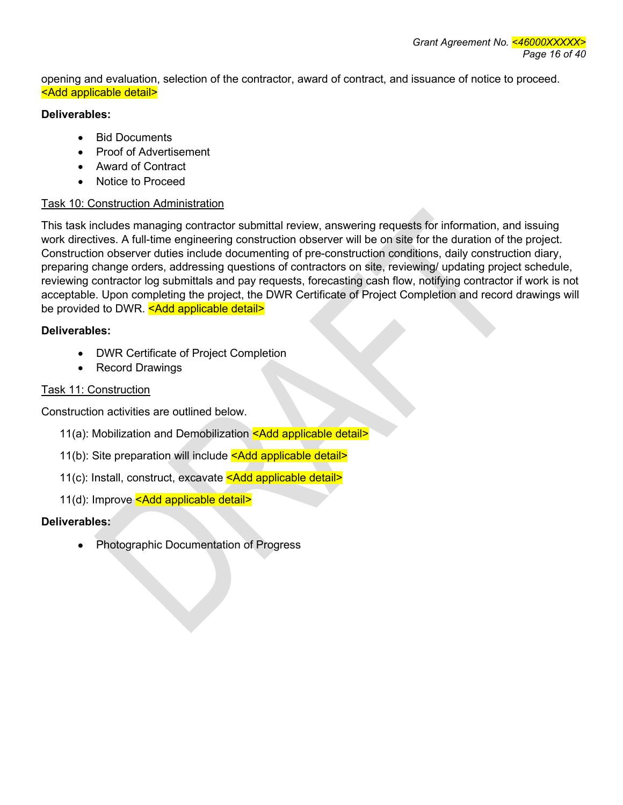opening and evaluation, selection of the contractor, award of contract, and issuance of notice to proceed. <Add applicable detail>

## **Deliverables:**

- Bid Documents
- Proof of Advertisement
- Award of Contract
- Notice to Proceed

# Task 10: Construction Administration

This task includes managing contractor submittal review, answering requests for information, and issuing work directives. A full-time engineering construction observer will be on site for the duration of the project. Construction observer duties include documenting of pre-construction conditions, daily construction diary, preparing change orders, addressing questions of contractors on site, reviewing/ updating project schedule, reviewing contractor log submittals and pay requests, forecasting cash flow, notifying contractor if work is not acceptable. Upon completing the project, the DWR Certificate of Project Completion and record drawings will be provided to DWR. < Add applicable detail>

# **Deliverables:**

- DWR Certificate of Project Completion
- Record Drawings

# Task 11: Construction

Construction activities are outlined below.

- 11(a): Mobilization and Demobilization <Add applicable detail>
- 11(b): Site preparation will include <Add applicable detail>
- 11(c): Install, construct, excavate <Add applicable detail>
- 11(d): Improve <Add applicable detail>

# **Deliverables:**

• Photographic Documentation of Progress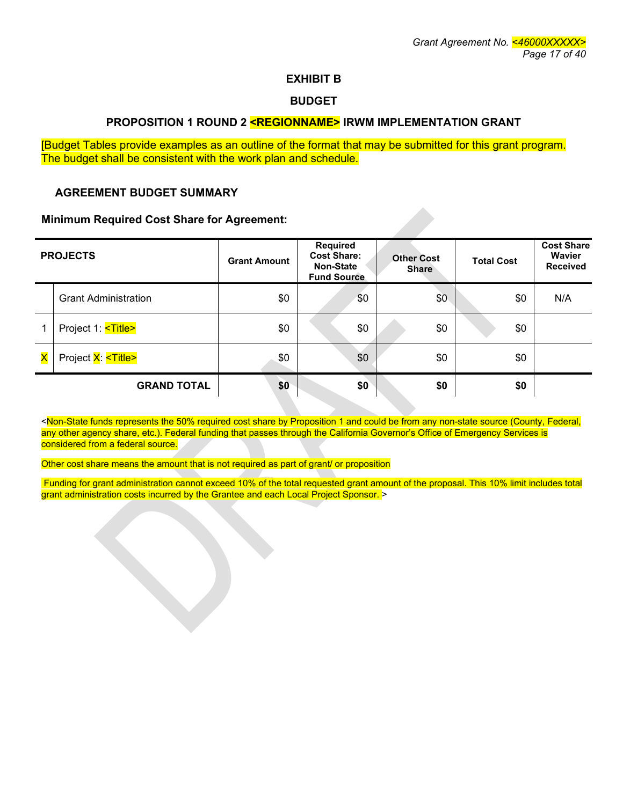### **EXHIBIT B**

#### **BUDGET**

#### **PROPOSITION 1 ROUND 2 <REGIONNAME> IRWM IMPLEMENTATION GRANT**

[Budget Tables provide examples as an outline of the format that may be submitted for this grant program. The budget shall be consistent with the work plan and schedule.

#### **AGREEMENT BUDGET SUMMARY**

#### **Minimum Required Cost Share for Agreement:**

| <b>PROJECTS</b>         |                             | <b>Grant Amount</b> | Required<br><b>Cost Share:</b><br><b>Non-State</b><br><b>Fund Source</b> | <b>Other Cost</b><br><b>Share</b> | <b>Total Cost</b> | <b>Cost Share</b><br><b>Wavier</b><br><b>Received</b> |
|-------------------------|-----------------------------|---------------------|--------------------------------------------------------------------------|-----------------------------------|-------------------|-------------------------------------------------------|
|                         | <b>Grant Administration</b> | \$0                 | \$0                                                                      | \$0                               | \$0               | N/A                                                   |
|                         | Project 1: <title></title>  | \$0                 | \$0                                                                      | \$0                               | \$0               |                                                       |
| $\overline{\mathsf{x}}$ | Project X: <title></title>  | \$0                 | \$0                                                                      | \$0                               | \$0               |                                                       |
|                         | <b>GRAND TOTAL</b>          | \$0                 | \$0                                                                      | \$0                               | \$0               |                                                       |

<Non-State funds represents the 50% required cost share by Proposition 1 and could be from any non-state source (County, Federal, any other agency share, etc.). Federal funding that passes through the California Governor's Office of Emergency Services is considered from a federal source.

Other cost share means the amount that is not required as part of grant/ or proposition

Funding for grant administration cannot exceed 10% of the total requested grant amount of the proposal. This 10% limit includes total grant administration costs incurred by the Grantee and each Local Project Sponsor. >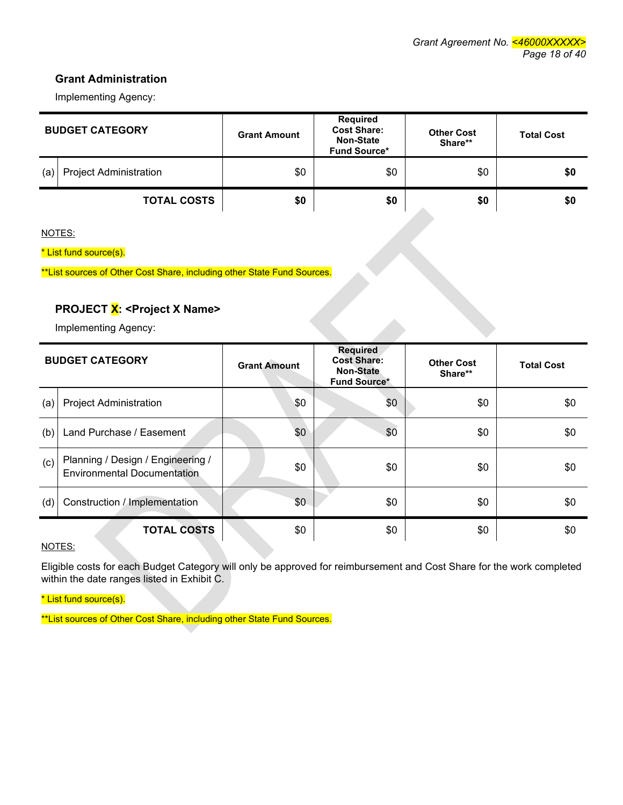## **Grant Administration**

Implementing Agency:

| <b>BUDGET CATEGORY</b> |                               | <b>Grant Amount</b> | <b>Required</b><br><b>Cost Share:</b><br><b>Non-State</b><br><b>Fund Source*</b> | <b>Other Cost</b><br>Share** | <b>Total Cost</b> |
|------------------------|-------------------------------|---------------------|----------------------------------------------------------------------------------|------------------------------|-------------------|
| (a)                    | <b>Project Administration</b> | \$0                 | \$0                                                                              | \$0                          | \$0               |
|                        | <b>TOTAL COSTS</b>            | \$0                 | \$0                                                                              | \$0                          | \$0               |

NOTES:

\* List fund source(s).

# **PROJECT X: <Project X Name>**

| **List sources of Other Cost Share, including other State Fund Sources.<br><b>PROJECT X: &lt; Project X Name&gt;</b><br>Implementing Agency: |                                                                         |                     |                                                                                  |                              |                   |
|----------------------------------------------------------------------------------------------------------------------------------------------|-------------------------------------------------------------------------|---------------------|----------------------------------------------------------------------------------|------------------------------|-------------------|
| <b>BUDGET CATEGORY</b>                                                                                                                       |                                                                         | <b>Grant Amount</b> | <b>Required</b><br><b>Cost Share:</b><br><b>Non-State</b><br><b>Fund Source*</b> | <b>Other Cost</b><br>Share** | <b>Total Cost</b> |
| (a)                                                                                                                                          | <b>Project Administration</b>                                           | \$0                 | \$0                                                                              | \$0                          | \$0               |
| (b)                                                                                                                                          | Land Purchase / Easement                                                | \$0                 | \$0                                                                              | \$0                          | \$0               |
| (c)                                                                                                                                          | Planning / Design / Engineering /<br><b>Environmental Documentation</b> | \$0                 | \$0                                                                              | \$0                          | \$0               |
| (d)                                                                                                                                          | Construction / Implementation                                           | \$0                 | \$0                                                                              | \$0                          | \$0               |
| <b>TOTAL COSTS</b>                                                                                                                           |                                                                         | \$0                 | \$0                                                                              | \$0                          | \$0               |

#### NOTES:

Eligible costs for each Budget Category will only be approved for reimbursement and Cost Share for the work completed within the date ranges listed in Exhibit C.

\* List fund source(s).

\*\*List sources of Other Cost Share, including other State Fund Sources.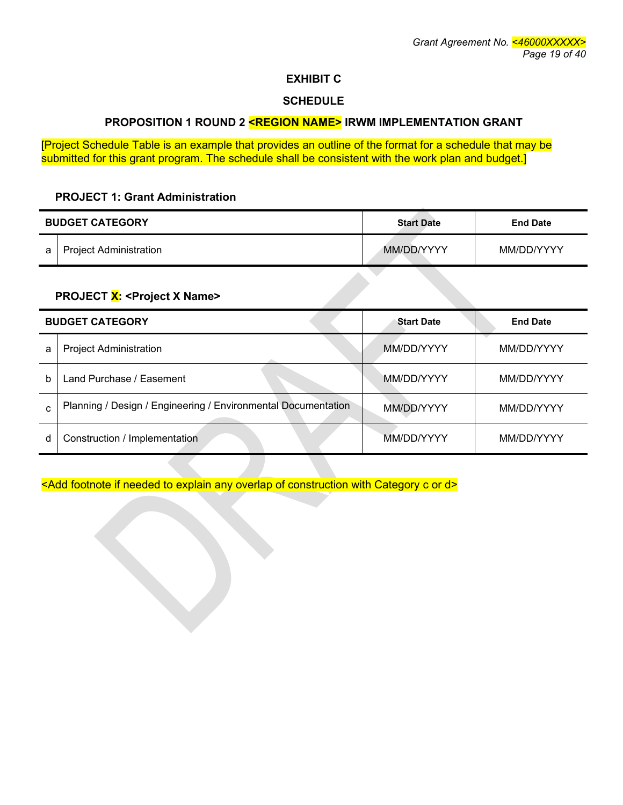## **EXHIBIT C**

#### **SCHEDULE**

## **PROPOSITION 1 ROUND 2 <REGION NAME> IRWM IMPLEMENTATION GRANT**

[Project Schedule Table is an example that provides an outline of the format for a schedule that may be submitted for this grant program. The schedule shall be consistent with the work plan and budget.]

#### **PROJECT 1: Grant Administration**

| <b>BUDGET CATEGORY</b> |                               | <b>Start Date</b> | <b>End Date</b> |  |
|------------------------|-------------------------------|-------------------|-----------------|--|
| a                      | <b>Project Administration</b> | MM/DD/YYYY        | MM/DD/YYYY      |  |

## PROJECT X: < Project X Name>

|    | <b>BUDGET CATEGORY</b>                                        | <b>Start Date</b> | <b>End Date</b> |
|----|---------------------------------------------------------------|-------------------|-----------------|
| a  | <b>Project Administration</b>                                 | MM/DD/YYYY        | MM/DD/YYYY      |
| b  | Land Purchase / Easement                                      | MM/DD/YYYY        | MM/DD/YYYY      |
| C. | Planning / Design / Engineering / Environmental Documentation | MM/DD/YYYY        | MM/DD/YYYY      |
| d  | Construction / Implementation                                 | MM/DD/YYYY        | MM/DD/YYYY      |

<Add footnote if needed to explain any overlap of construction with Category c or d>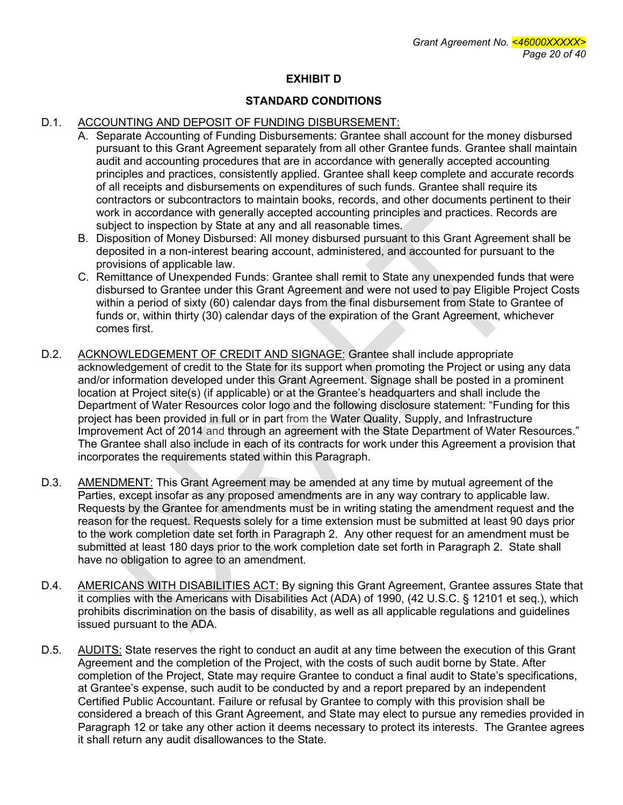## **EXHIBIT D**

## **STANDARD CONDITIONS**

## D.1. ACCOUNTING AND DEPOSIT OF FUNDING DISBURSEMENT:

- A. Separate Accounting of Funding Disbursements: Grantee shall account for the money disbursed pursuant to this Grant Agreement separately from all other Grantee funds. Grantee shall maintain audit and accounting procedures that are in accordance with generally accepted accounting principles and practices, consistently applied. Grantee shall keep complete and accurate records of all receipts and disbursements on expenditures of such funds. Grantee shall require its contractors or subcontractors to maintain books, records, and other documents pertinent to their work in accordance with generally accepted accounting principles and practices. Records are subject to inspection by State at any and all reasonable times.
- B. Disposition of Money Disbursed: All money disbursed pursuant to this Grant Agreement shall be deposited in a non-interest bearing account, administered, and accounted for pursuant to the provisions of applicable law.
- C. Remittance of Unexpended Funds: Grantee shall remit to State any unexpended funds that were disbursed to Grantee under this Grant Agreement and were not used to pay Eligible Project Costs within a period of sixty (60) calendar days from the final disbursement from State to Grantee of funds or, within thirty (30) calendar days of the expiration of the Grant Agreement, whichever comes first.
- D.2. ACKNOWLEDGEMENT OF CREDIT AND SIGNAGE: Grantee shall include appropriate acknowledgement of credit to the State for its support when promoting the Project or using any data and/or information developed under this Grant Agreement. Signage shall be posted in a prominent location at Project site(s) (if applicable) or at the Grantee's headquarters and shall include the Department of Water Resources color logo and the following disclosure statement: "Funding for this project has been provided in full or in part from the Water Quality, Supply, and Infrastructure Improvement Act of 2014 and through an agreement with the State Department of Water Resources." The Grantee shall also include in each of its contracts for work under this Agreement a provision that incorporates the requirements stated within this Paragraph.
- D.3. AMENDMENT: This Grant Agreement may be amended at any time by mutual agreement of the Parties, except insofar as any proposed amendments are in any way contrary to applicable law. Requests by the Grantee for amendments must be in writing stating the amendment request and the reason for the request. Requests solely for a time extension must be submitted at least 90 days prior to the work completion date set forth in Paragraph 2. Any other request for an amendment must be submitted at least 180 days prior to the work completion date set forth in Paragraph 2. State shall have no obligation to agree to an amendment.
- D.4. AMERICANS WITH DISABILITIES ACT: By signing this Grant Agreement, Grantee assures State that it complies with the Americans with Disabilities Act (ADA) of 1990, (42 U.S.C. § 12101 et seq.), which prohibits discrimination on the basis of disability, as well as all applicable regulations and guidelines issued pursuant to the ADA.
- D.5. AUDITS: State reserves the right to conduct an audit at any time between the execution of this Grant Agreement and the completion of the Project, with the costs of such audit borne by State. After completion of the Project, State may require Grantee to conduct a final audit to State's specifications, at Grantee's expense, such audit to be conducted by and a report prepared by an independent Certified Public Accountant. Failure or refusal by Grantee to comply with this provision shall be considered a breach of this Grant Agreement, and State may elect to pursue any remedies provided in Paragraph 12 or take any other action it deems necessary to protect its interests. The Grantee agrees it shall return any audit disallowances to the State.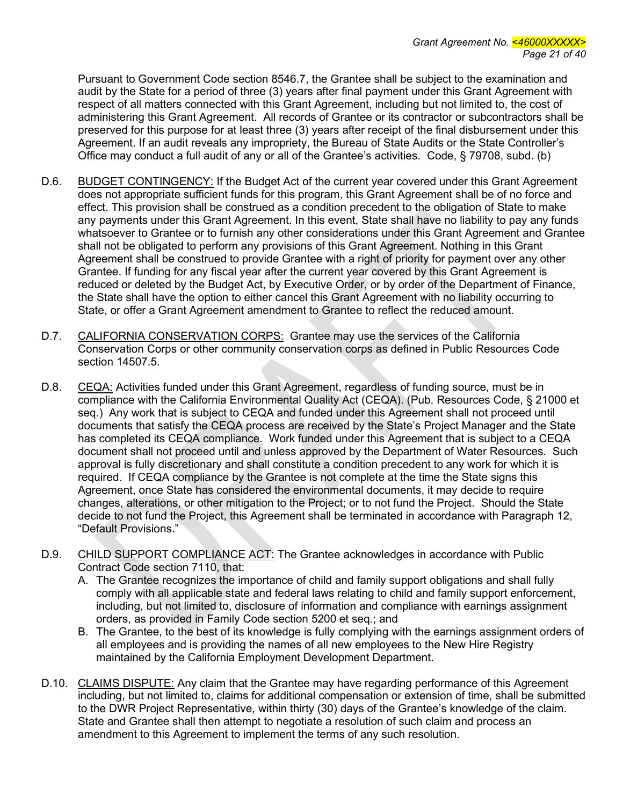Pursuant to Government Code section 8546.7, the Grantee shall be subject to the examination and audit by the State for a period of three (3) years after final payment under this Grant Agreement with respect of all matters connected with this Grant Agreement, including but not limited to, the cost of administering this Grant Agreement. All records of Grantee or its contractor or subcontractors shall be preserved for this purpose for at least three (3) years after receipt of the final disbursement under this Agreement. If an audit reveals any impropriety, the Bureau of State Audits or the State Controller's Office may conduct a full audit of any or all of the Grantee's activities. Code, § 79708, subd. (b)

- D.6. BUDGET CONTINGENCY: If the Budget Act of the current year covered under this Grant Agreement does not appropriate sufficient funds for this program, this Grant Agreement shall be of no force and effect. This provision shall be construed as a condition precedent to the obligation of State to make any payments under this Grant Agreement. In this event, State shall have no liability to pay any funds whatsoever to Grantee or to furnish any other considerations under this Grant Agreement and Grantee shall not be obligated to perform any provisions of this Grant Agreement. Nothing in this Grant Agreement shall be construed to provide Grantee with a right of priority for payment over any other Grantee. If funding for any fiscal year after the current year covered by this Grant Agreement is reduced or deleted by the Budget Act, by Executive Order, or by order of the Department of Finance, the State shall have the option to either cancel this Grant Agreement with no liability occurring to State, or offer a Grant Agreement amendment to Grantee to reflect the reduced amount.
- D.7. CALIFORNIA CONSERVATION CORPS: Grantee may use the services of the California Conservation Corps or other community conservation corps as defined in Public Resources Code section 14507.5.
- D.8. CEQA: Activities funded under this Grant Agreement, regardless of funding source, must be in compliance with the California Environmental Quality Act (CEQA). (Pub. Resources Code, § 21000 et seq.) Any work that is subject to CEQA and funded under this Agreement shall not proceed until documents that satisfy the CEQA process are received by the State's Project Manager and the State has completed its CEQA compliance. Work funded under this Agreement that is subject to a CEQA document shall not proceed until and unless approved by the Department of Water Resources. Such approval is fully discretionary and shall constitute a condition precedent to any work for which it is required. If CEQA compliance by the Grantee is not complete at the time the State signs this Agreement, once State has considered the environmental documents, it may decide to require changes, alterations, or other mitigation to the Project; or to not fund the Project. Should the State decide to not fund the Project, this Agreement shall be terminated in accordance with Paragraph 12, "Default Provisions."
- D.9. CHILD SUPPORT COMPLIANCE ACT: The Grantee acknowledges in accordance with Public Contract Code section 7110, that:
	- A. The Grantee recognizes the importance of child and family support obligations and shall fully comply with all applicable state and federal laws relating to child and family support enforcement, including, but not limited to, disclosure of information and compliance with earnings assignment orders, as provided in Family Code section 5200 et seq.; and
	- B. The Grantee, to the best of its knowledge is fully complying with the earnings assignment orders of all employees and is providing the names of all new employees to the New Hire Registry maintained by the California Employment Development Department.
- D.10. CLAIMS DISPUTE: Any claim that the Grantee may have regarding performance of this Agreement including, but not limited to, claims for additional compensation or extension of time, shall be submitted to the DWR Project Representative, within thirty (30) days of the Grantee's knowledge of the claim. State and Grantee shall then attempt to negotiate a resolution of such claim and process an amendment to this Agreement to implement the terms of any such resolution.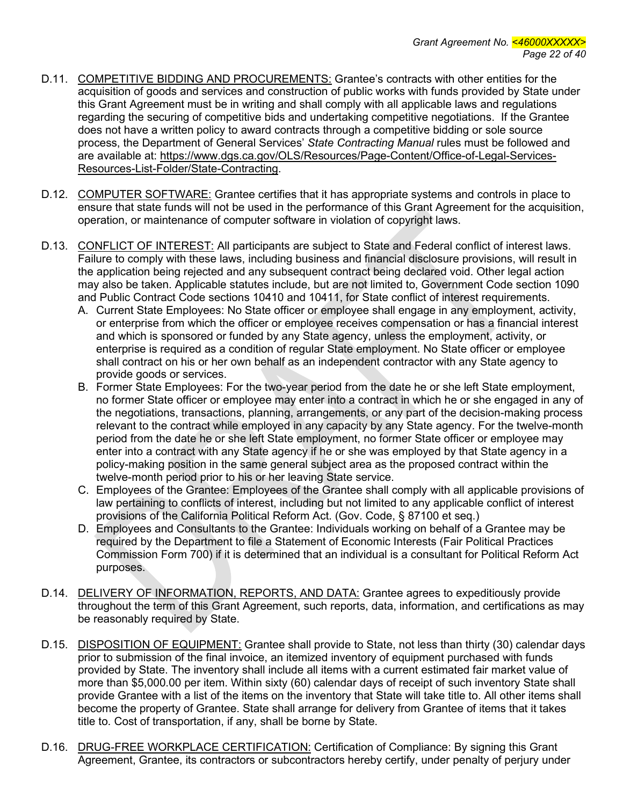- D.11. COMPETITIVE BIDDING AND PROCUREMENTS: Grantee's contracts with other entities for the acquisition of goods and services and construction of public works with funds provided by State under this Grant Agreement must be in writing and shall comply with all applicable laws and regulations regarding the securing of competitive bids and undertaking competitive negotiations. If the Grantee does not have a written policy to award contracts through a competitive bidding or sole source process, the Department of General Services' *State Contracting Manual* rules must be followed and are available at: https://www.dgs.ca.gov/OLS/Resources/Page-Content/Office-of-Legal-Services-Resources-List-Folder/State-Contracting.
- D.12. COMPUTER SOFTWARE: Grantee certifies that it has appropriate systems and controls in place to ensure that state funds will not be used in the performance of this Grant Agreement for the acquisition, operation, or maintenance of computer software in violation of copyright laws.
- D.13. CONFLICT OF INTEREST: All participants are subject to State and Federal conflict of interest laws. Failure to comply with these laws, including business and financial disclosure provisions, will result in the application being rejected and any subsequent contract being declared void. Other legal action may also be taken. Applicable statutes include, but are not limited to, Government Code section 1090 and Public Contract Code sections 10410 and 10411, for State conflict of interest requirements.
	- A. Current State Employees: No State officer or employee shall engage in any employment, activity, or enterprise from which the officer or employee receives compensation or has a financial interest and which is sponsored or funded by any State agency, unless the employment, activity, or enterprise is required as a condition of regular State employment. No State officer or employee shall contract on his or her own behalf as an independent contractor with any State agency to provide goods or services.
	- B. Former State Employees: For the two-year period from the date he or she left State employment, no former State officer or employee may enter into a contract in which he or she engaged in any of the negotiations, transactions, planning, arrangements, or any part of the decision-making process relevant to the contract while employed in any capacity by any State agency. For the twelve-month period from the date he or she left State employment, no former State officer or employee may enter into a contract with any State agency if he or she was employed by that State agency in a policy-making position in the same general subject area as the proposed contract within the twelve-month period prior to his or her leaving State service.
	- C. Employees of the Grantee: Employees of the Grantee shall comply with all applicable provisions of law pertaining to conflicts of interest, including but not limited to any applicable conflict of interest provisions of the California Political Reform Act. (Gov. Code, § 87100 et seq.)
	- D. Employees and Consultants to the Grantee: Individuals working on behalf of a Grantee may be required by the Department to file a Statement of Economic Interests (Fair Political Practices Commission Form 700) if it is determined that an individual is a consultant for Political Reform Act purposes.
- D.14. DELIVERY OF INFORMATION, REPORTS, AND DATA: Grantee agrees to expeditiously provide throughout the term of this Grant Agreement, such reports, data, information, and certifications as may be reasonably required by State.
- D.15. DISPOSITION OF EQUIPMENT: Grantee shall provide to State, not less than thirty (30) calendar days prior to submission of the final invoice, an itemized inventory of equipment purchased with funds provided by State. The inventory shall include all items with a current estimated fair market value of more than \$5,000.00 per item. Within sixty (60) calendar days of receipt of such inventory State shall provide Grantee with a list of the items on the inventory that State will take title to. All other items shall become the property of Grantee. State shall arrange for delivery from Grantee of items that it takes title to. Cost of transportation, if any, shall be borne by State.
- D.16. DRUG-FREE WORKPLACE CERTIFICATION: Certification of Compliance: By signing this Grant Agreement, Grantee, its contractors or subcontractors hereby certify, under penalty of perjury under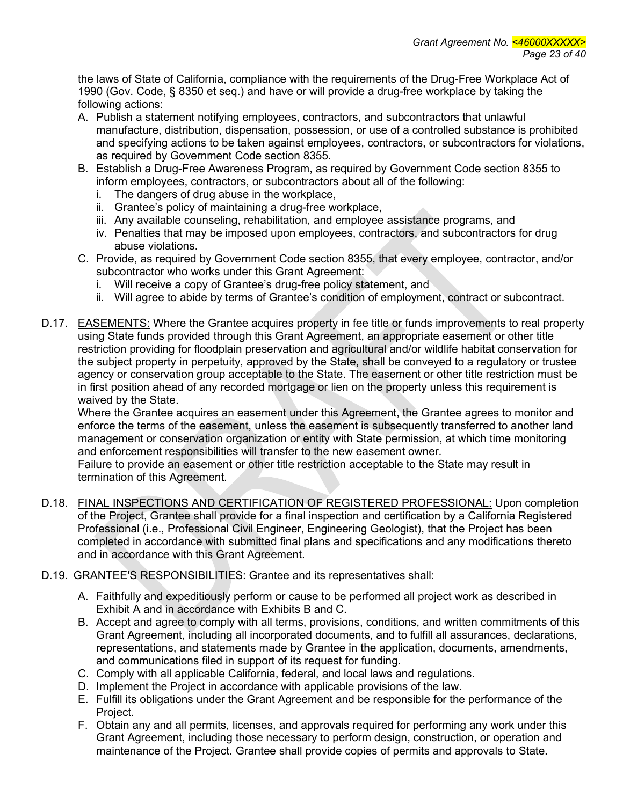the laws of State of California, compliance with the requirements of the Drug-Free Workplace Act of 1990 (Gov. Code, § 8350 et seq.) and have or will provide a drug-free workplace by taking the following actions:

- A. Publish a statement notifying employees, contractors, and subcontractors that unlawful manufacture, distribution, dispensation, possession, or use of a controlled substance is prohibited and specifying actions to be taken against employees, contractors, or subcontractors for violations, as required by Government Code section 8355.
- B. Establish a Drug-Free Awareness Program, as required by Government Code section 8355 to inform employees, contractors, or subcontractors about all of the following:
	- i. The dangers of drug abuse in the workplace,
	- ii. Grantee's policy of maintaining a drug-free workplace,
	- iii. Any available counseling, rehabilitation, and employee assistance programs, and
	- iv. Penalties that may be imposed upon employees, contractors, and subcontractors for drug abuse violations.
- C. Provide, as required by Government Code section 8355, that every employee, contractor, and/or subcontractor who works under this Grant Agreement:
	- i. Will receive a copy of Grantee's drug-free policy statement, and
	- ii. Will agree to abide by terms of Grantee's condition of employment, contract or subcontract.
- D.17. **EASEMENTS:** Where the Grantee acquires property in fee title or funds improvements to real property using State funds provided through this Grant Agreement, an appropriate easement or other title restriction providing for floodplain preservation and agricultural and/or wildlife habitat conservation for the subject property in perpetuity, approved by the State, shall be conveyed to a regulatory or trustee agency or conservation group acceptable to the State. The easement or other title restriction must be in first position ahead of any recorded mortgage or lien on the property unless this requirement is waived by the State.

Where the Grantee acquires an easement under this Agreement, the Grantee agrees to monitor and enforce the terms of the easement, unless the easement is subsequently transferred to another land management or conservation organization or entity with State permission, at which time monitoring and enforcement responsibilities will transfer to the new easement owner.

Failure to provide an easement or other title restriction acceptable to the State may result in termination of this Agreement.

D.18. FINAL INSPECTIONS AND CERTIFICATION OF REGISTERED PROFESSIONAL: Upon completion of the Project, Grantee shall provide for a final inspection and certification by a California Registered Professional (i.e., Professional Civil Engineer, Engineering Geologist), that the Project has been completed in accordance with submitted final plans and specifications and any modifications thereto and in accordance with this Grant Agreement.

### D.19. GRANTEE'S RESPONSIBILITIES: Grantee and its representatives shall:

- A. Faithfully and expeditiously perform or cause to be performed all project work as described in Exhibit A and in accordance with Exhibits B and C.
- B. Accept and agree to comply with all terms, provisions, conditions, and written commitments of this Grant Agreement, including all incorporated documents, and to fulfill all assurances, declarations, representations, and statements made by Grantee in the application, documents, amendments, and communications filed in support of its request for funding.
- C. Comply with all applicable California, federal, and local laws and regulations.
- D. Implement the Project in accordance with applicable provisions of the law.
- E. Fulfill its obligations under the Grant Agreement and be responsible for the performance of the Project.
- F. Obtain any and all permits, licenses, and approvals required for performing any work under this Grant Agreement, including those necessary to perform design, construction, or operation and maintenance of the Project. Grantee shall provide copies of permits and approvals to State.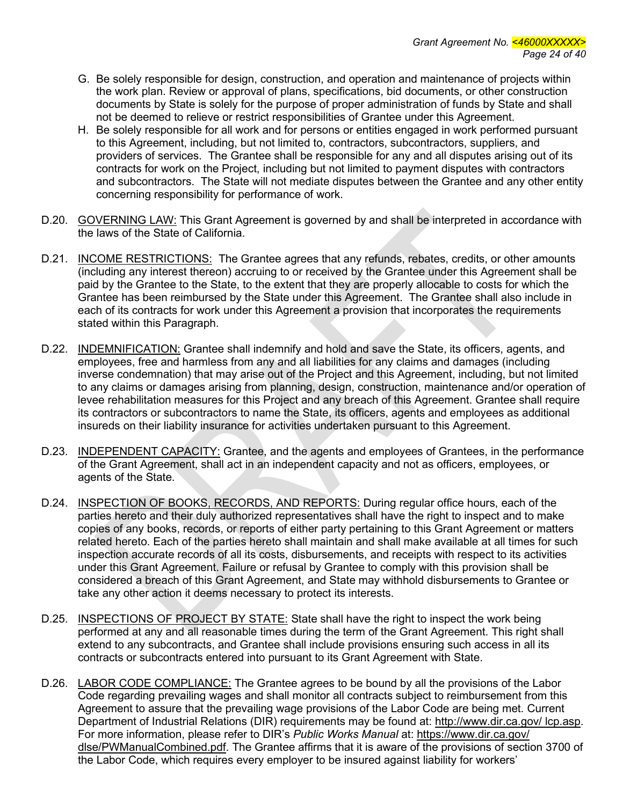- G. Be solely responsible for design, construction, and operation and maintenance of projects within the work plan. Review or approval of plans, specifications, bid documents, or other construction documents by State is solely for the purpose of proper administration of funds by State and shall not be deemed to relieve or restrict responsibilities of Grantee under this Agreement.
- H. Be solely responsible for all work and for persons or entities engaged in work performed pursuant to this Agreement, including, but not limited to, contractors, subcontractors, suppliers, and providers of services. The Grantee shall be responsible for any and all disputes arising out of its contracts for work on the Project, including but not limited to payment disputes with contractors and subcontractors. The State will not mediate disputes between the Grantee and any other entity concerning responsibility for performance of work.
- D.20. GOVERNING LAW: This Grant Agreement is governed by and shall be interpreted in accordance with the laws of the State of California.
- D.21. INCOME RESTRICTIONS: The Grantee agrees that any refunds, rebates, credits, or other amounts (including any interest thereon) accruing to or received by the Grantee under this Agreement shall be paid by the Grantee to the State, to the extent that they are properly allocable to costs for which the Grantee has been reimbursed by the State under this Agreement. The Grantee shall also include in each of its contracts for work under this Agreement a provision that incorporates the requirements stated within this Paragraph.
- D.22. INDEMNIFICATION: Grantee shall indemnify and hold and save the State, its officers, agents, and employees, free and harmless from any and all liabilities for any claims and damages (including inverse condemnation) that may arise out of the Project and this Agreement, including, but not limited to any claims or damages arising from planning, design, construction, maintenance and/or operation of levee rehabilitation measures for this Project and any breach of this Agreement. Grantee shall require its contractors or subcontractors to name the State, its officers, agents and employees as additional insureds on their liability insurance for activities undertaken pursuant to this Agreement.
- D.23. INDEPENDENT CAPACITY: Grantee, and the agents and employees of Grantees, in the performance of the Grant Agreement, shall act in an independent capacity and not as officers, employees, or agents of the State.
- D.24. INSPECTION OF BOOKS, RECORDS, AND REPORTS: During regular office hours, each of the parties hereto and their duly authorized representatives shall have the right to inspect and to make copies of any books, records, or reports of either party pertaining to this Grant Agreement or matters related hereto. Each of the parties hereto shall maintain and shall make available at all times for such inspection accurate records of all its costs, disbursements, and receipts with respect to its activities under this Grant Agreement. Failure or refusal by Grantee to comply with this provision shall be considered a breach of this Grant Agreement, and State may withhold disbursements to Grantee or take any other action it deems necessary to protect its interests.
- D.25. INSPECTIONS OF PROJECT BY STATE: State shall have the right to inspect the work being performed at any and all reasonable times during the term of the Grant Agreement. This right shall extend to any subcontracts, and Grantee shall include provisions ensuring such access in all its contracts or subcontracts entered into pursuant to its Grant Agreement with State.
- D.26. LABOR CODE COMPLIANCE: The Grantee agrees to be bound by all the provisions of the Labor Code regarding prevailing wages and shall monitor all contracts subject to reimbursement from this Agreement to assure that the prevailing wage provisions of the Labor Code are being met. Current Department of Industrial Relations (DIR) requirements may be found at: http://www.dir.ca.gov/ lcp.asp. For more information, please refer to DIR's *Public Works Manual* at: https://www.dir.ca.gov/ dlse/PWManualCombined.pdf. The Grantee affirms that it is aware of the provisions of section 3700 of the Labor Code, which requires every employer to be insured against liability for workers'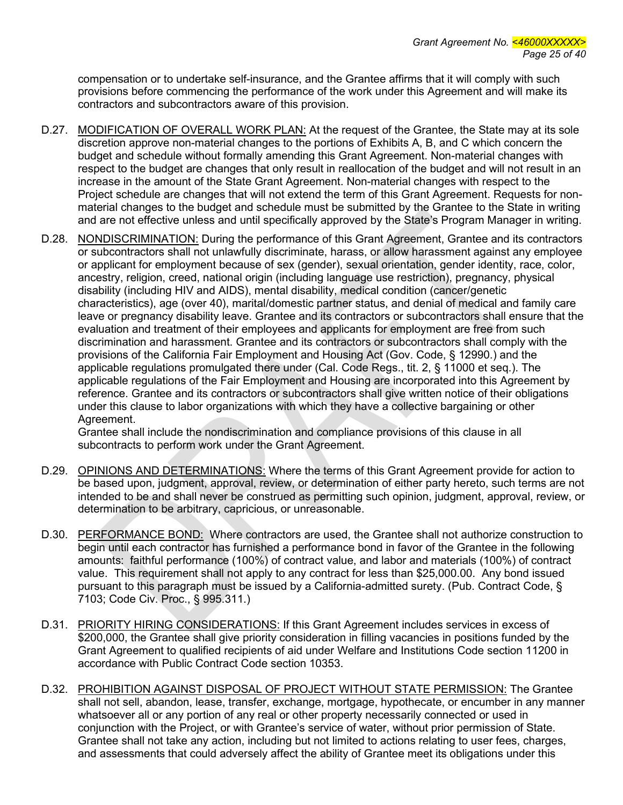compensation or to undertake self-insurance, and the Grantee affirms that it will comply with such provisions before commencing the performance of the work under this Agreement and will make its contractors and subcontractors aware of this provision.

- D.27. MODIFICATION OF OVERALL WORK PLAN: At the request of the Grantee, the State may at its sole discretion approve non-material changes to the portions of Exhibits A, B, and C which concern the budget and schedule without formally amending this Grant Agreement. Non-material changes with respect to the budget are changes that only result in reallocation of the budget and will not result in an increase in the amount of the State Grant Agreement. Non-material changes with respect to the Project schedule are changes that will not extend the term of this Grant Agreement. Requests for nonmaterial changes to the budget and schedule must be submitted by the Grantee to the State in writing and are not effective unless and until specifically approved by the State's Program Manager in writing.
- D.28. NONDISCRIMINATION: During the performance of this Grant Agreement, Grantee and its contractors or subcontractors shall not unlawfully discriminate, harass, or allow harassment against any employee or applicant for employment because of sex (gender), sexual orientation, gender identity, race, color, ancestry, religion, creed, national origin (including language use restriction), pregnancy, physical disability (including HIV and AIDS), mental disability, medical condition (cancer/genetic characteristics), age (over 40), marital/domestic partner status, and denial of medical and family care leave or pregnancy disability leave. Grantee and its contractors or subcontractors shall ensure that the evaluation and treatment of their employees and applicants for employment are free from such discrimination and harassment. Grantee and its contractors or subcontractors shall comply with the provisions of the California Fair Employment and Housing Act (Gov. Code, § 12990.) and the applicable regulations promulgated there under (Cal. Code Regs., tit. 2, § 11000 et seq.). The applicable regulations of the Fair Employment and Housing are incorporated into this Agreement by reference. Grantee and its contractors or subcontractors shall give written notice of their obligations under this clause to labor organizations with which they have a collective bargaining or other Agreement.

Grantee shall include the nondiscrimination and compliance provisions of this clause in all subcontracts to perform work under the Grant Agreement.

- D.29. OPINIONS AND DETERMINATIONS: Where the terms of this Grant Agreement provide for action to be based upon, judgment, approval, review, or determination of either party hereto, such terms are not intended to be and shall never be construed as permitting such opinion, judgment, approval, review, or determination to be arbitrary, capricious, or unreasonable.
- D.30. PERFORMANCE BOND: Where contractors are used, the Grantee shall not authorize construction to begin until each contractor has furnished a performance bond in favor of the Grantee in the following amounts: faithful performance (100%) of contract value, and labor and materials (100%) of contract value. This requirement shall not apply to any contract for less than \$25,000.00. Any bond issued pursuant to this paragraph must be issued by a California-admitted surety. (Pub. Contract Code, § 7103; Code Civ. Proc., § 995.311.)
- D.31. PRIORITY HIRING CONSIDERATIONS: If this Grant Agreement includes services in excess of \$200,000, the Grantee shall give priority consideration in filling vacancies in positions funded by the Grant Agreement to qualified recipients of aid under Welfare and Institutions Code section 11200 in accordance with Public Contract Code section 10353.
- D.32. PROHIBITION AGAINST DISPOSAL OF PROJECT WITHOUT STATE PERMISSION: The Grantee shall not sell, abandon, lease, transfer, exchange, mortgage, hypothecate, or encumber in any manner whatsoever all or any portion of any real or other property necessarily connected or used in conjunction with the Project, or with Grantee's service of water, without prior permission of State. Grantee shall not take any action, including but not limited to actions relating to user fees, charges, and assessments that could adversely affect the ability of Grantee meet its obligations under this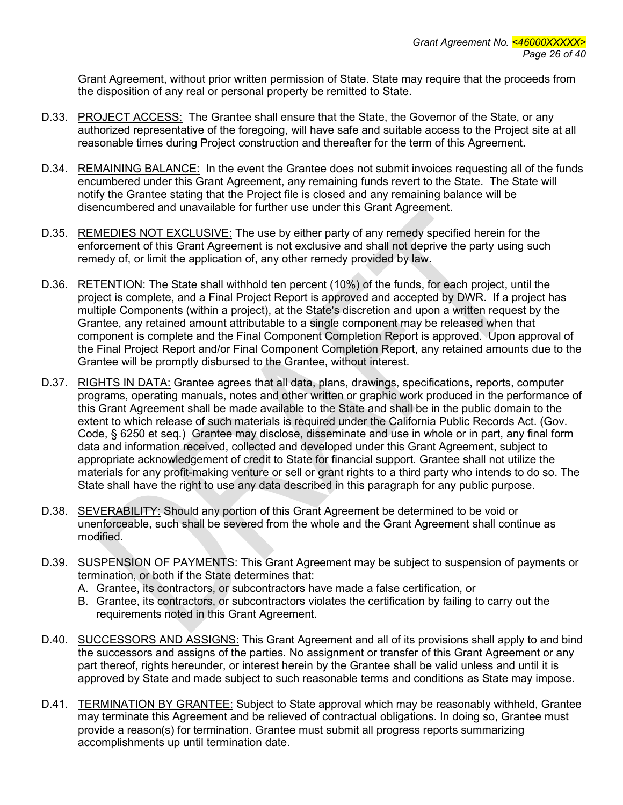Grant Agreement, without prior written permission of State. State may require that the proceeds from the disposition of any real or personal property be remitted to State.

- D.33. PROJECT ACCESS: The Grantee shall ensure that the State, the Governor of the State, or any authorized representative of the foregoing, will have safe and suitable access to the Project site at all reasonable times during Project construction and thereafter for the term of this Agreement.
- D.34. REMAINING BALANCE: In the event the Grantee does not submit invoices requesting all of the funds encumbered under this Grant Agreement, any remaining funds revert to the State. The State will notify the Grantee stating that the Project file is closed and any remaining balance will be disencumbered and unavailable for further use under this Grant Agreement.
- D.35. REMEDIES NOT EXCLUSIVE: The use by either party of any remedy specified herein for the enforcement of this Grant Agreement is not exclusive and shall not deprive the party using such remedy of, or limit the application of, any other remedy provided by law.
- D.36. RETENTION: The State shall withhold ten percent (10%) of the funds, for each project, until the project is complete, and a Final Project Report is approved and accepted by DWR. If a project has multiple Components (within a project), at the State's discretion and upon a written request by the Grantee, any retained amount attributable to a single component may be released when that component is complete and the Final Component Completion Report is approved. Upon approval of the Final Project Report and/or Final Component Completion Report, any retained amounts due to the Grantee will be promptly disbursed to the Grantee, without interest.
- D.37. RIGHTS IN DATA: Grantee agrees that all data, plans, drawings, specifications, reports, computer programs, operating manuals, notes and other written or graphic work produced in the performance of this Grant Agreement shall be made available to the State and shall be in the public domain to the extent to which release of such materials is required under the California Public Records Act. (Gov. Code, § 6250 et seq.) Grantee may disclose, disseminate and use in whole or in part, any final form data and information received, collected and developed under this Grant Agreement, subject to appropriate acknowledgement of credit to State for financial support. Grantee shall not utilize the materials for any profit-making venture or sell or grant rights to a third party who intends to do so. The State shall have the right to use any data described in this paragraph for any public purpose.
- D.38. SEVERABILITY: Should any portion of this Grant Agreement be determined to be void or unenforceable, such shall be severed from the whole and the Grant Agreement shall continue as modified.
- D.39. SUSPENSION OF PAYMENTS: This Grant Agreement may be subject to suspension of payments or termination, or both if the State determines that:
	- A. Grantee, its contractors, or subcontractors have made a false certification, or
	- B. Grantee, its contractors, or subcontractors violates the certification by failing to carry out the requirements noted in this Grant Agreement.
- D.40. SUCCESSORS AND ASSIGNS: This Grant Agreement and all of its provisions shall apply to and bind the successors and assigns of the parties. No assignment or transfer of this Grant Agreement or any part thereof, rights hereunder, or interest herein by the Grantee shall be valid unless and until it is approved by State and made subject to such reasonable terms and conditions as State may impose.
- D.41. TERMINATION BY GRANTEE: Subject to State approval which may be reasonably withheld, Grantee may terminate this Agreement and be relieved of contractual obligations. In doing so, Grantee must provide a reason(s) for termination. Grantee must submit all progress reports summarizing accomplishments up until termination date.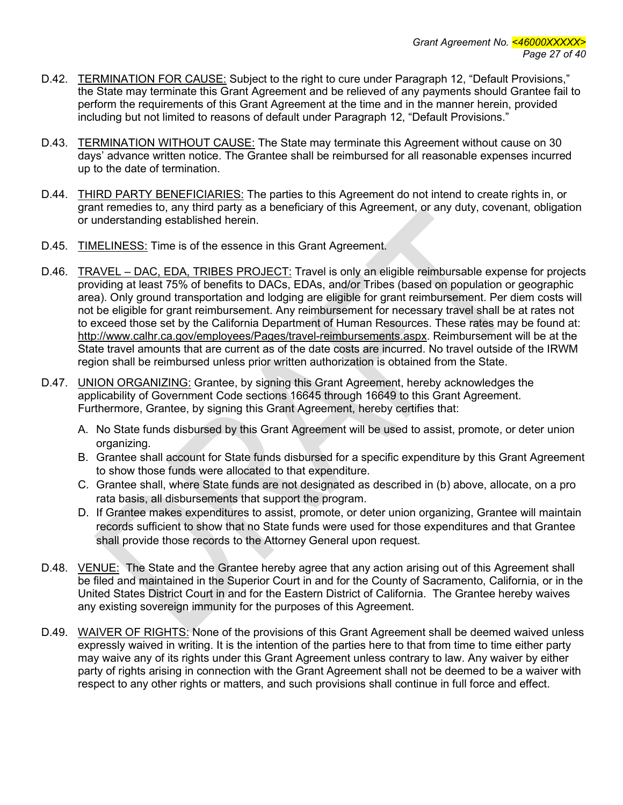- D.42. TERMINATION FOR CAUSE: Subject to the right to cure under Paragraph 12, "Default Provisions," the State may terminate this Grant Agreement and be relieved of any payments should Grantee fail to perform the requirements of this Grant Agreement at the time and in the manner herein, provided including but not limited to reasons of default under Paragraph 12, "Default Provisions."
- D.43. TERMINATION WITHOUT CAUSE: The State may terminate this Agreement without cause on 30 days' advance written notice. The Grantee shall be reimbursed for all reasonable expenses incurred up to the date of termination.
- D.44. THIRD PARTY BENEFICIARIES: The parties to this Agreement do not intend to create rights in, or grant remedies to, any third party as a beneficiary of this Agreement, or any duty, covenant, obligation or understanding established herein.
- D.45. TIMELINESS: Time is of the essence in this Grant Agreement.
- D.46. TRAVEL DAC, EDA, TRIBES PROJECT: Travel is only an eligible reimbursable expense for projects providing at least 75% of benefits to DACs, EDAs, and/or Tribes (based on population or geographic area). Only ground transportation and lodging are eligible for grant reimbursement. Per diem costs will not be eligible for grant reimbursement. Any reimbursement for necessary travel shall be at rates not to exceed those set by the California Department of Human Resources. These rates may be found at: http://www.calhr.ca.gov/employees/Pages/travel-reimbursements.aspx. Reimbursement will be at the State travel amounts that are current as of the date costs are incurred. No travel outside of the IRWM region shall be reimbursed unless prior written authorization is obtained from the State.
- D.47. UNION ORGANIZING: Grantee, by signing this Grant Agreement, hereby acknowledges the applicability of Government Code sections 16645 through 16649 to this Grant Agreement. Furthermore, Grantee, by signing this Grant Agreement, hereby certifies that:
	- A. No State funds disbursed by this Grant Agreement will be used to assist, promote, or deter union organizing.
	- B. Grantee shall account for State funds disbursed for a specific expenditure by this Grant Agreement to show those funds were allocated to that expenditure.
	- C. Grantee shall, where State funds are not designated as described in (b) above, allocate, on a pro rata basis, all disbursements that support the program.
	- D. If Grantee makes expenditures to assist, promote, or deter union organizing, Grantee will maintain records sufficient to show that no State funds were used for those expenditures and that Grantee shall provide those records to the Attorney General upon request.
- D.48. VENUE: The State and the Grantee hereby agree that any action arising out of this Agreement shall be filed and maintained in the Superior Court in and for the County of Sacramento, California, or in the United States District Court in and for the Eastern District of California. The Grantee hereby waives any existing sovereign immunity for the purposes of this Agreement.
- D.49. WAIVER OF RIGHTS: None of the provisions of this Grant Agreement shall be deemed waived unless expressly waived in writing. It is the intention of the parties here to that from time to time either party may waive any of its rights under this Grant Agreement unless contrary to law. Any waiver by either party of rights arising in connection with the Grant Agreement shall not be deemed to be a waiver with respect to any other rights or matters, and such provisions shall continue in full force and effect.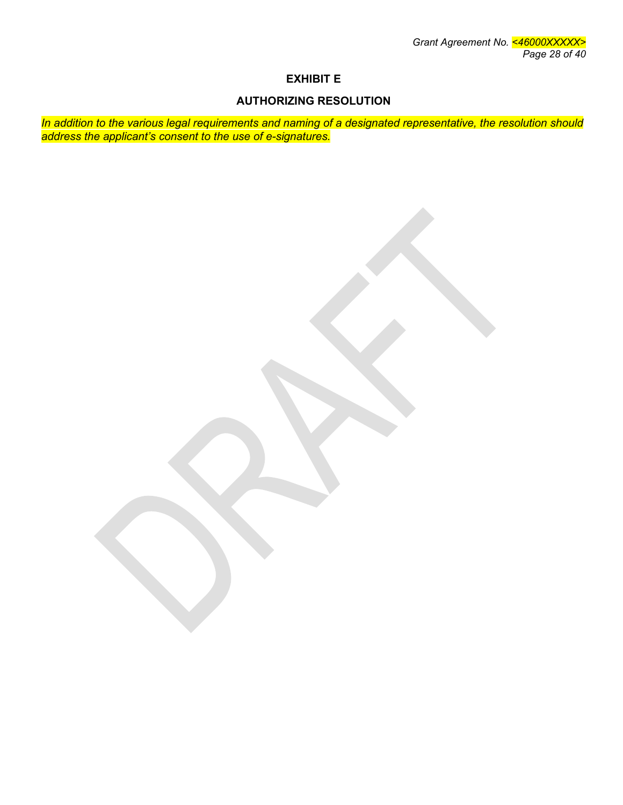# **EXHIBIT E**

## **AUTHORIZING RESOLUTION**

*In addition to the various legal requirements and naming of a designated representative, the resolution should address the applicant's consent to the use of e-signatures.*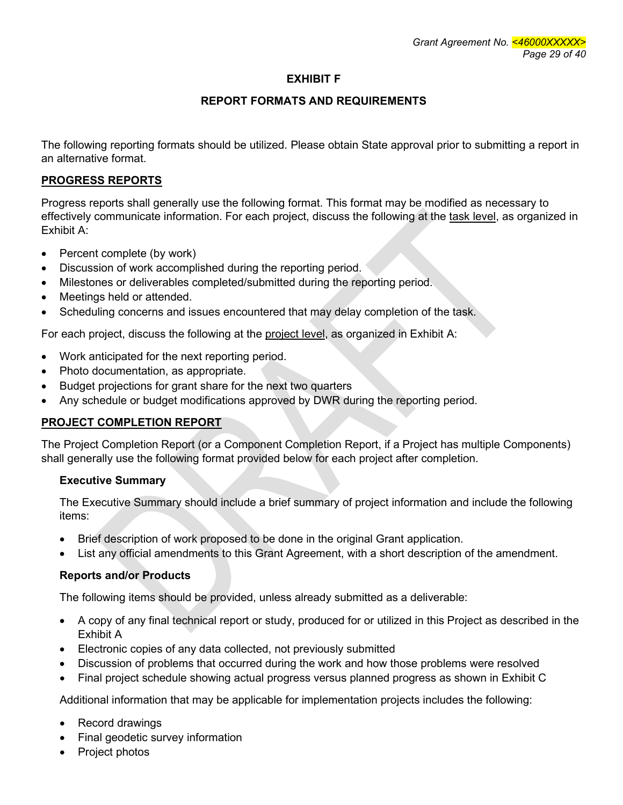# **EXHIBIT F**

# **REPORT FORMATS AND REQUIREMENTS**

The following reporting formats should be utilized. Please obtain State approval prior to submitting a report in an alternative format.

## **PROGRESS REPORTS**

Progress reports shall generally use the following format. This format may be modified as necessary to effectively communicate information. For each project, discuss the following at the task level, as organized in Exhibit A:

- Percent complete (by work)
- Discussion of work accomplished during the reporting period.
- Milestones or deliverables completed/submitted during the reporting period.
- Meetings held or attended.
- Scheduling concerns and issues encountered that may delay completion of the task.

For each project, discuss the following at the project level, as organized in Exhibit A:

- Work anticipated for the next reporting period.
- Photo documentation, as appropriate.
- Budget projections for grant share for the next two quarters
- Any schedule or budget modifications approved by DWR during the reporting period.

# **PROJECT COMPLETION REPORT**

The Project Completion Report (or a Component Completion Report, if a Project has multiple Components) shall generally use the following format provided below for each project after completion.

# **Executive Summary**

The Executive Summary should include a brief summary of project information and include the following items:

- Brief description of work proposed to be done in the original Grant application.
- List any official amendments to this Grant Agreement, with a short description of the amendment.

### **Reports and/or Products**

The following items should be provided, unless already submitted as a deliverable:

- A copy of any final technical report or study, produced for or utilized in this Project as described in the Exhibit A
- Electronic copies of any data collected, not previously submitted
- Discussion of problems that occurred during the work and how those problems were resolved
- Final project schedule showing actual progress versus planned progress as shown in Exhibit C

Additional information that may be applicable for implementation projects includes the following:

- Record drawings
- Final geodetic survey information
- Project photos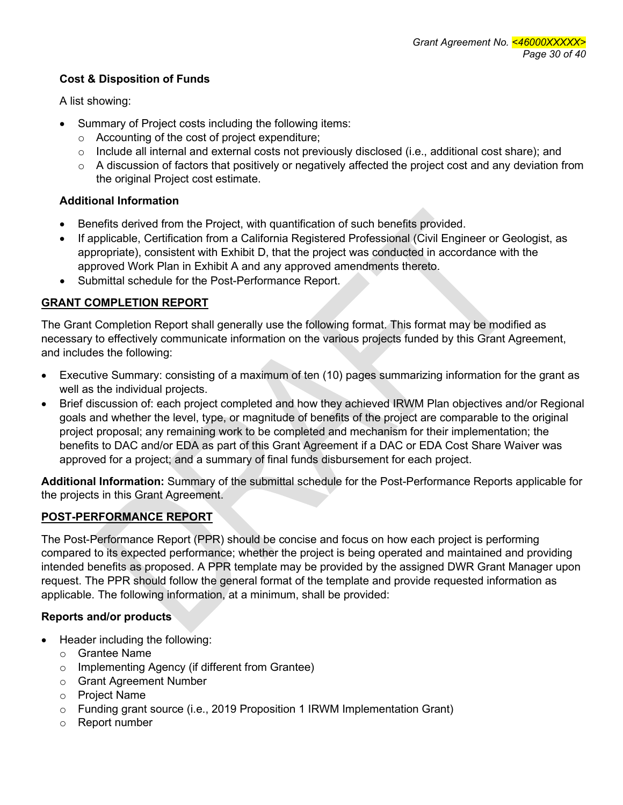## **Cost & Disposition of Funds**

A list showing:

- Summary of Project costs including the following items:
	- o Accounting of the cost of project expenditure;
	- o Include all internal and external costs not previously disclosed (i.e., additional cost share); and
	- $\circ$  A discussion of factors that positively or negatively affected the project cost and any deviation from the original Project cost estimate.

## **Additional Information**

- Benefits derived from the Project, with quantification of such benefits provided.
- If applicable, Certification from a California Registered Professional (Civil Engineer or Geologist, as appropriate), consistent with Exhibit D, that the project was conducted in accordance with the approved Work Plan in Exhibit A and any approved amendments thereto.
- Submittal schedule for the Post-Performance Report.

## **GRANT COMPLETION REPORT**

The Grant Completion Report shall generally use the following format. This format may be modified as necessary to effectively communicate information on the various projects funded by this Grant Agreement, and includes the following:

- Executive Summary: consisting of a maximum of ten (10) pages summarizing information for the grant as well as the individual projects.
- Brief discussion of: each project completed and how they achieved IRWM Plan objectives and/or Regional goals and whether the level, type, or magnitude of benefits of the project are comparable to the original project proposal; any remaining work to be completed and mechanism for their implementation; the benefits to DAC and/or EDA as part of this Grant Agreement if a DAC or EDA Cost Share Waiver was approved for a project; and a summary of final funds disbursement for each project.

**Additional Information:** Summary of the submittal schedule for the Post-Performance Reports applicable for the projects in this Grant Agreement.

# **POST-PERFORMANCE REPORT**

The Post-Performance Report (PPR) should be concise and focus on how each project is performing compared to its expected performance; whether the project is being operated and maintained and providing intended benefits as proposed. A PPR template may be provided by the assigned DWR Grant Manager upon request. The PPR should follow the general format of the template and provide requested information as applicable. The following information, at a minimum, shall be provided:

# **Reports and/or products**

- Header including the following:
	- o Grantee Name
	- o Implementing Agency (if different from Grantee)
	- o Grant Agreement Number
	- o Project Name
	- o Funding grant source (i.e., 2019 Proposition 1 IRWM Implementation Grant)
	- o Report number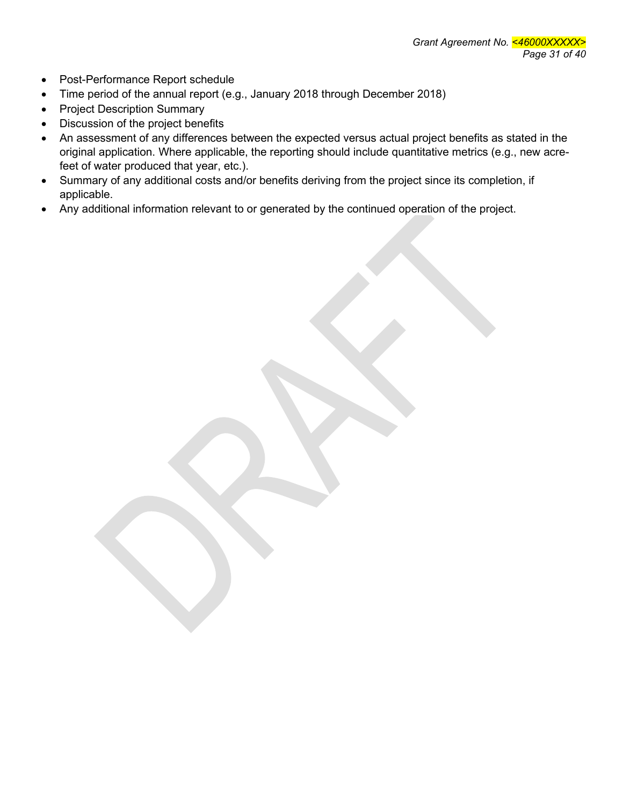- Post-Performance Report schedule
- Time period of the annual report (e.g., January 2018 through December 2018)
- Project Description Summary
- Discussion of the project benefits
- An assessment of any differences between the expected versus actual project benefits as stated in the original application. Where applicable, the reporting should include quantitative metrics (e.g., new acrefeet of water produced that year, etc.).
- Summary of any additional costs and/or benefits deriving from the project since its completion, if applicable.
- Any additional information relevant to or generated by the continued operation of the project.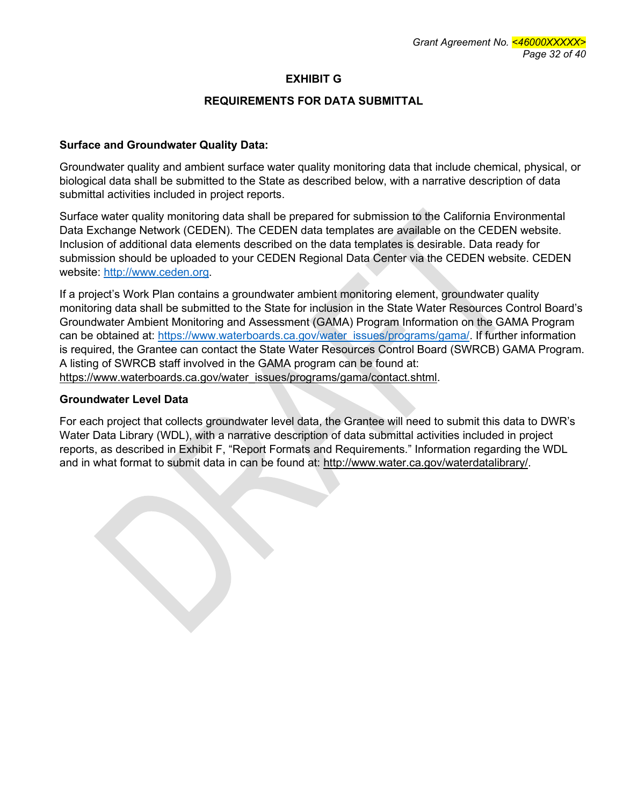## **EXHIBIT G**

### **REQUIREMENTS FOR DATA SUBMITTAL**

#### **Surface and Groundwater Quality Data:**

Groundwater quality and ambient surface water quality monitoring data that include chemical, physical, or biological data shall be submitted to the State as described below, with a narrative description of data submittal activities included in project reports.

Surface water quality monitoring data shall be prepared for submission to the California Environmental Data Exchange Network (CEDEN). The CEDEN data templates are available on the CEDEN website. Inclusion of additional data elements described on the data templates is desirable. Data ready for submission should be uploaded to your CEDEN Regional Data Center via the CEDEN website. CEDEN website: [http://www.ceden.org.](http://www.ceden.org/)

If a project's Work Plan contains a groundwater ambient monitoring element, groundwater quality monitoring data shall be submitted to the State for inclusion in the State Water Resources Control Board's Groundwater Ambient Monitoring and Assessment (GAMA) Program Information on the GAMA Program can be obtained at: https://www.waterboards.ca.gov/water\_issues/programs/gama/. If further information is required, the Grantee can contact the State Water Resources Control Board (SWRCB) GAMA Program. A listing of SWRCB staff involved in the GAMA program can be found at: https://www.waterboards.ca.gov/water\_issues/programs/gama/contact.shtml.

#### **Groundwater Level Data**

For each project that collects groundwater level data, the Grantee will need to submit this data to DWR's Water Data Library (WDL), with a narrative description of data submittal activities included in project reports, as described in Exhibit F, "Report Formats and Requirements." Information regarding the WDL and in what format to submit data in can be found at: http://www.water.ca.gov/waterdatalibrary/.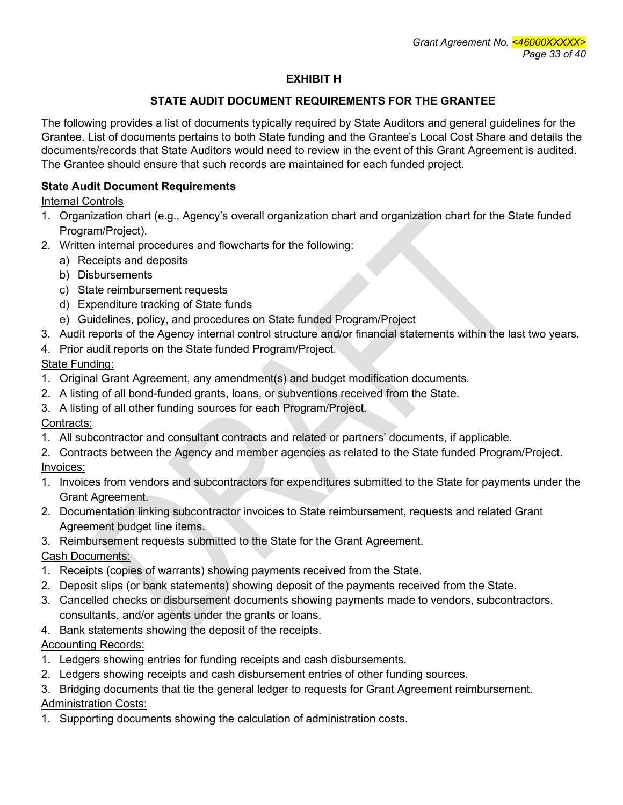# **EXHIBIT H**

# **STATE AUDIT DOCUMENT REQUIREMENTS FOR THE GRANTEE**

The following provides a list of documents typically required by State Auditors and general guidelines for the Grantee. List of documents pertains to both State funding and the Grantee's Local Cost Share and details the documents/records that State Auditors would need to review in the event of this Grant Agreement is audited. The Grantee should ensure that such records are maintained for each funded project.

# **State Audit Document Requirements**

Internal Controls

- 1. Organization chart (e.g., Agency's overall organization chart and organization chart for the State funded Program/Project).
- 2. Written internal procedures and flowcharts for the following:
	- a) Receipts and deposits
	- b) Disbursements
	- c) State reimbursement requests
	- d) Expenditure tracking of State funds
	- e) Guidelines, policy, and procedures on State funded Program/Project
- 3. Audit reports of the Agency internal control structure and/or financial statements within the last two years.
- 4. Prior audit reports on the State funded Program/Project.

State Funding:

- 1. Original Grant Agreement, any amendment(s) and budget modification documents.
- 2. A listing of all bond-funded grants, loans, or subventions received from the State.
- 3. A listing of all other funding sources for each Program/Project.

# Contracts:

- 1. All subcontractor and consultant contracts and related or partners' documents, if applicable.
- 2. Contracts between the Agency and member agencies as related to the State funded Program/Project.
- Invoices:
- 1. Invoices from vendors and subcontractors for expenditures submitted to the State for payments under the Grant Agreement.
- 2. Documentation linking subcontractor invoices to State reimbursement, requests and related Grant Agreement budget line items.
- 3. Reimbursement requests submitted to the State for the Grant Agreement.

Cash Documents:

- 1. Receipts (copies of warrants) showing payments received from the State.
- 2. Deposit slips (or bank statements) showing deposit of the payments received from the State.
- 3. Cancelled checks or disbursement documents showing payments made to vendors, subcontractors, consultants, and/or agents under the grants or loans.
- 4. Bank statements showing the deposit of the receipts.

# Accounting Records:

- 1. Ledgers showing entries for funding receipts and cash disbursements.
- 2. Ledgers showing receipts and cash disbursement entries of other funding sources.
- 3. Bridging documents that tie the general ledger to requests for Grant Agreement reimbursement. Administration Costs:
- 1. Supporting documents showing the calculation of administration costs.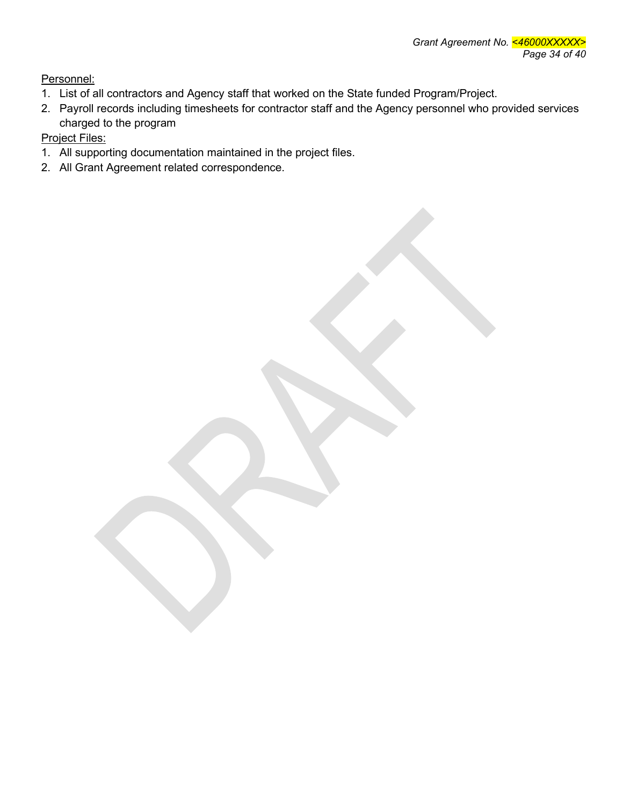Personnel:

- 1. List of all contractors and Agency staff that worked on the State funded Program/Project.
- 2. Payroll records including timesheets for contractor staff and the Agency personnel who provided services charged to the program

Project Files:

- 1. All supporting documentation maintained in the project files.
- 2. All Grant Agreement related correspondence.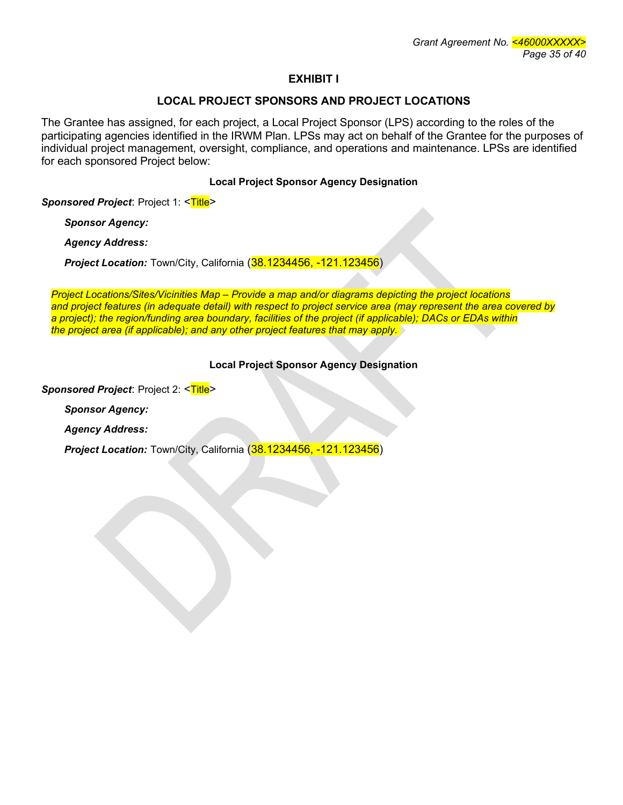#### **EXHIBIT I**

#### **LOCAL PROJECT SPONSORS AND PROJECT LOCATIONS**

The Grantee has assigned, for each project, a Local Project Sponsor (LPS) according to the roles of the participating agencies identified in the IRWM Plan. LPSs may act on behalf of the Grantee for the purposes of individual project management, oversight, compliance, and operations and maintenance. LPSs are identified for each sponsored Project below:

#### **Local Project Sponsor Agency Designation**

**Sponsored Project: Project 1: <Title>** 

*Sponsor Agency:*

*Agency Address:*

*Project Location:* Town/City, California (38.1234456, -121.123456)

*Project Locations/Sites/Vicinities Map – Provide a map and/or diagrams depicting the project locations and project features (in adequate detail) with respect to project service area (may represent the area covered by a project); the region/funding area boundary, facilities of the project (if applicable); DACs or EDAs within the project area (if applicable); and any other project features that may apply.*

#### **Local Project Sponsor Agency Designation**

**Sponsored Project: Project 2: <Title>** 

*Sponsor Agency:*

*Agency Address:*

*Project Location:* Town/City, California (38.1234456, -121.123456)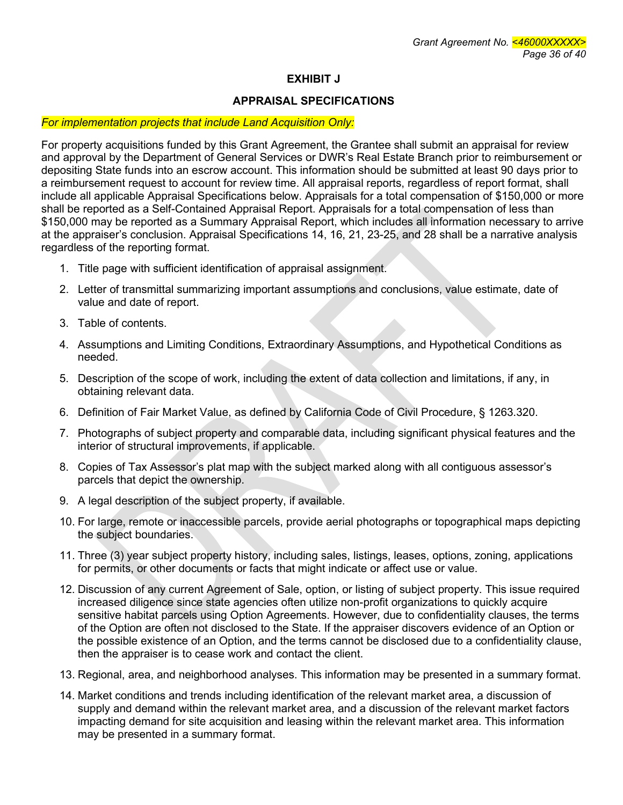# **EXHIBIT J**

## **APPRAISAL SPECIFICATIONS**

#### *For implementation projects that include Land Acquisition Only:*

For property acquisitions funded by this Grant Agreement, the Grantee shall submit an appraisal for review and approval by the Department of General Services or DWR's Real Estate Branch prior to reimbursement or depositing State funds into an escrow account. This information should be submitted at least 90 days prior to a reimbursement request to account for review time. All appraisal reports, regardless of report format, shall include all applicable Appraisal Specifications below. Appraisals for a total compensation of \$150,000 or more shall be reported as a Self-Contained Appraisal Report. Appraisals for a total compensation of less than \$150,000 may be reported as a Summary Appraisal Report, which includes all information necessary to arrive at the appraiser's conclusion. Appraisal Specifications 14, 16, 21, 23-25, and 28 shall be a narrative analysis regardless of the reporting format.

- 1. Title page with sufficient identification of appraisal assignment.
- 2. Letter of transmittal summarizing important assumptions and conclusions, value estimate, date of value and date of report.
- 3. Table of contents.
- 4. Assumptions and Limiting Conditions, Extraordinary Assumptions, and Hypothetical Conditions as needed.
- 5. Description of the scope of work, including the extent of data collection and limitations, if any, in obtaining relevant data.
- 6. Definition of Fair Market Value, as defined by California Code of Civil Procedure, § 1263.320.
- 7. Photographs of subject property and comparable data, including significant physical features and the interior of structural improvements, if applicable.
- 8. Copies of Tax Assessor's plat map with the subject marked along with all contiguous assessor's parcels that depict the ownership.
- 9. A legal description of the subject property, if available.
- 10. For large, remote or inaccessible parcels, provide aerial photographs or topographical maps depicting the subject boundaries.
- 11. Three (3) year subject property history, including sales, listings, leases, options, zoning, applications for permits, or other documents or facts that might indicate or affect use or value.
- 12. Discussion of any current Agreement of Sale, option, or listing of subject property. This issue required increased diligence since state agencies often utilize non-profit organizations to quickly acquire sensitive habitat parcels using Option Agreements. However, due to confidentiality clauses, the terms of the Option are often not disclosed to the State. If the appraiser discovers evidence of an Option or the possible existence of an Option, and the terms cannot be disclosed due to a confidentiality clause, then the appraiser is to cease work and contact the client.
- 13. Regional, area, and neighborhood analyses. This information may be presented in a summary format.
- 14. Market conditions and trends including identification of the relevant market area, a discussion of supply and demand within the relevant market area, and a discussion of the relevant market factors impacting demand for site acquisition and leasing within the relevant market area. This information may be presented in a summary format.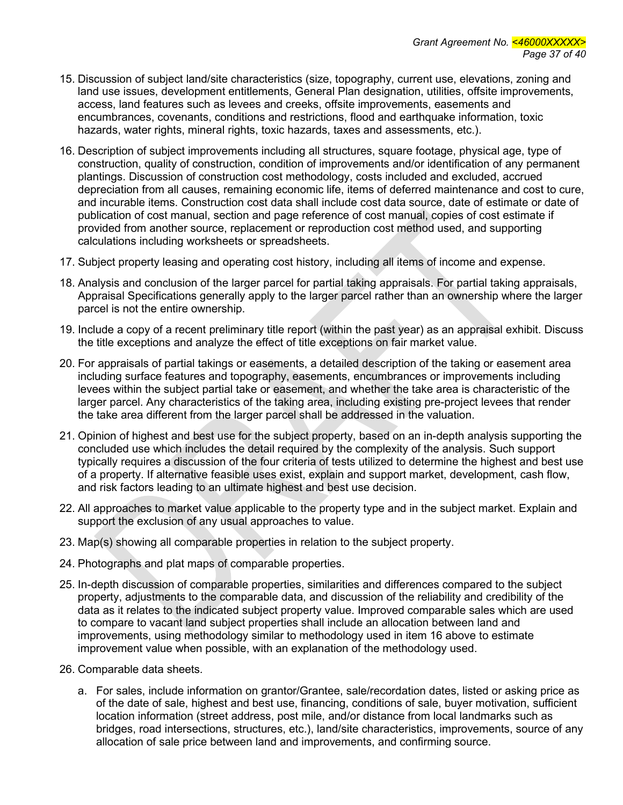- 15. Discussion of subject land/site characteristics (size, topography, current use, elevations, zoning and land use issues, development entitlements, General Plan designation, utilities, offsite improvements, access, land features such as levees and creeks, offsite improvements, easements and encumbrances, covenants, conditions and restrictions, flood and earthquake information, toxic hazards, water rights, mineral rights, toxic hazards, taxes and assessments, etc.).
- 16. Description of subject improvements including all structures, square footage, physical age, type of construction, quality of construction, condition of improvements and/or identification of any permanent plantings. Discussion of construction cost methodology, costs included and excluded, accrued depreciation from all causes, remaining economic life, items of deferred maintenance and cost to cure, and incurable items. Construction cost data shall include cost data source, date of estimate or date of publication of cost manual, section and page reference of cost manual, copies of cost estimate if provided from another source, replacement or reproduction cost method used, and supporting calculations including worksheets or spreadsheets.
- 17. Subject property leasing and operating cost history, including all items of income and expense.
- 18. Analysis and conclusion of the larger parcel for partial taking appraisals. For partial taking appraisals, Appraisal Specifications generally apply to the larger parcel rather than an ownership where the larger parcel is not the entire ownership.
- 19. Include a copy of a recent preliminary title report (within the past year) as an appraisal exhibit. Discuss the title exceptions and analyze the effect of title exceptions on fair market value.
- 20. For appraisals of partial takings or easements, a detailed description of the taking or easement area including surface features and topography, easements, encumbrances or improvements including levees within the subject partial take or easement, and whether the take area is characteristic of the larger parcel. Any characteristics of the taking area, including existing pre-project levees that render the take area different from the larger parcel shall be addressed in the valuation.
- 21. Opinion of highest and best use for the subject property, based on an in-depth analysis supporting the concluded use which includes the detail required by the complexity of the analysis. Such support typically requires a discussion of the four criteria of tests utilized to determine the highest and best use of a property. If alternative feasible uses exist, explain and support market, development, cash flow, and risk factors leading to an ultimate highest and best use decision.
- 22. All approaches to market value applicable to the property type and in the subject market. Explain and support the exclusion of any usual approaches to value.
- 23. Map(s) showing all comparable properties in relation to the subject property.
- 24. Photographs and plat maps of comparable properties.
- 25. In-depth discussion of comparable properties, similarities and differences compared to the subject property, adjustments to the comparable data, and discussion of the reliability and credibility of the data as it relates to the indicated subject property value. Improved comparable sales which are used to compare to vacant land subject properties shall include an allocation between land and improvements, using methodology similar to methodology used in item 16 above to estimate improvement value when possible, with an explanation of the methodology used.
- 26. Comparable data sheets.
	- a. For sales, include information on grantor/Grantee, sale/recordation dates, listed or asking price as of the date of sale, highest and best use, financing, conditions of sale, buyer motivation, sufficient location information (street address, post mile, and/or distance from local landmarks such as bridges, road intersections, structures, etc.), land/site characteristics, improvements, source of any allocation of sale price between land and improvements, and confirming source.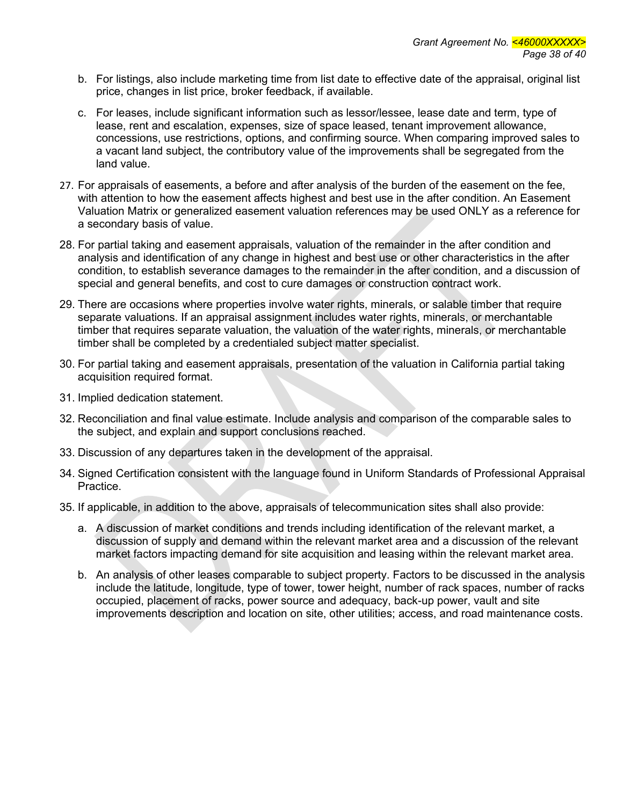- b. For listings, also include marketing time from list date to effective date of the appraisal, original list price, changes in list price, broker feedback, if available.
- c. For leases, include significant information such as lessor/lessee, lease date and term, type of lease, rent and escalation, expenses, size of space leased, tenant improvement allowance, concessions, use restrictions, options, and confirming source. When comparing improved sales to a vacant land subject, the contributory value of the improvements shall be segregated from the land value.
- 27. For appraisals of easements, a before and after analysis of the burden of the easement on the fee, with attention to how the easement affects highest and best use in the after condition. An Easement Valuation Matrix or generalized easement valuation references may be used ONLY as a reference for a secondary basis of value.
- 28. For partial taking and easement appraisals, valuation of the remainder in the after condition and analysis and identification of any change in highest and best use or other characteristics in the after condition, to establish severance damages to the remainder in the after condition, and a discussion of special and general benefits, and cost to cure damages or construction contract work.
- 29. There are occasions where properties involve water rights, minerals, or salable timber that require separate valuations. If an appraisal assignment includes water rights, minerals, or merchantable timber that requires separate valuation, the valuation of the water rights, minerals, or merchantable timber shall be completed by a credentialed subject matter specialist.
- 30. For partial taking and easement appraisals, presentation of the valuation in California partial taking acquisition required format.
- 31. Implied dedication statement.
- 32. Reconciliation and final value estimate. Include analysis and comparison of the comparable sales to the subject, and explain and support conclusions reached.
- 33. Discussion of any departures taken in the development of the appraisal.
- 34. Signed Certification consistent with the language found in Uniform Standards of Professional Appraisal Practice.
- 35. If applicable, in addition to the above, appraisals of telecommunication sites shall also provide:
	- a. A discussion of market conditions and trends including identification of the relevant market, a discussion of supply and demand within the relevant market area and a discussion of the relevant market factors impacting demand for site acquisition and leasing within the relevant market area.
	- b. An analysis of other leases comparable to subject property. Factors to be discussed in the analysis include the latitude, longitude, type of tower, tower height, number of rack spaces, number of racks occupied, placement of racks, power source and adequacy, back-up power, vault and site improvements description and location on site, other utilities; access, and road maintenance costs.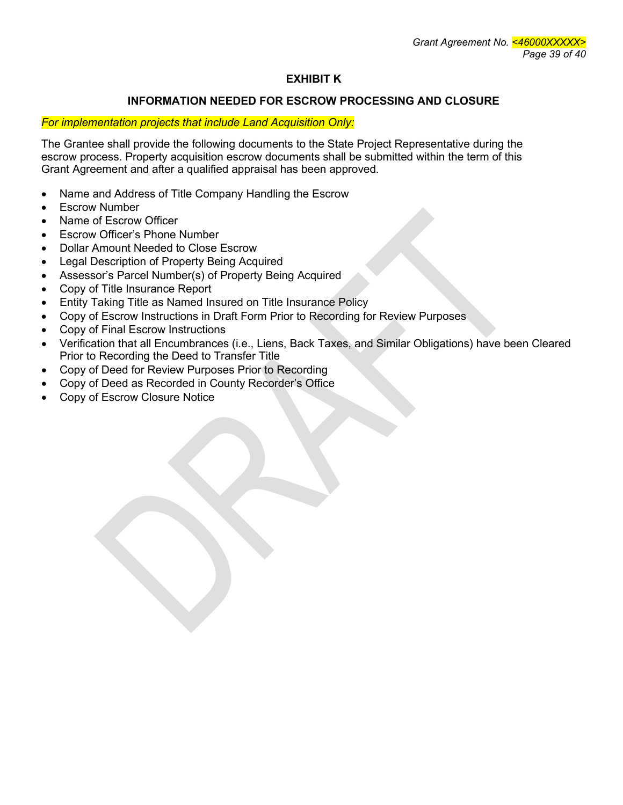# **EXHIBIT K**

### **INFORMATION NEEDED FOR ESCROW PROCESSING AND CLOSURE**

### *For implementation projects that include Land Acquisition Only:*

The Grantee shall provide the following documents to the State Project Representative during the escrow process. Property acquisition escrow documents shall be submitted within the term of this Grant Agreement and after a qualified appraisal has been approved.

- Name and Address of Title Company Handling the Escrow
- Escrow Number
- Name of Escrow Officer
- Escrow Officer's Phone Number
- Dollar Amount Needed to Close Escrow
- Legal Description of Property Being Acquired
- Assessor's Parcel Number(s) of Property Being Acquired
- Copy of Title Insurance Report
- Entity Taking Title as Named Insured on Title Insurance Policy
- Copy of Escrow Instructions in Draft Form Prior to Recording for Review Purposes
- Copy of Final Escrow Instructions
- Verification that all Encumbrances (i.e., Liens, Back Taxes, and Similar Obligations) have been Cleared Prior to Recording the Deed to Transfer Title
- Copy of Deed for Review Purposes Prior to Recording
- Copy of Deed as Recorded in County Recorder's Office
- Copy of Escrow Closure Notice